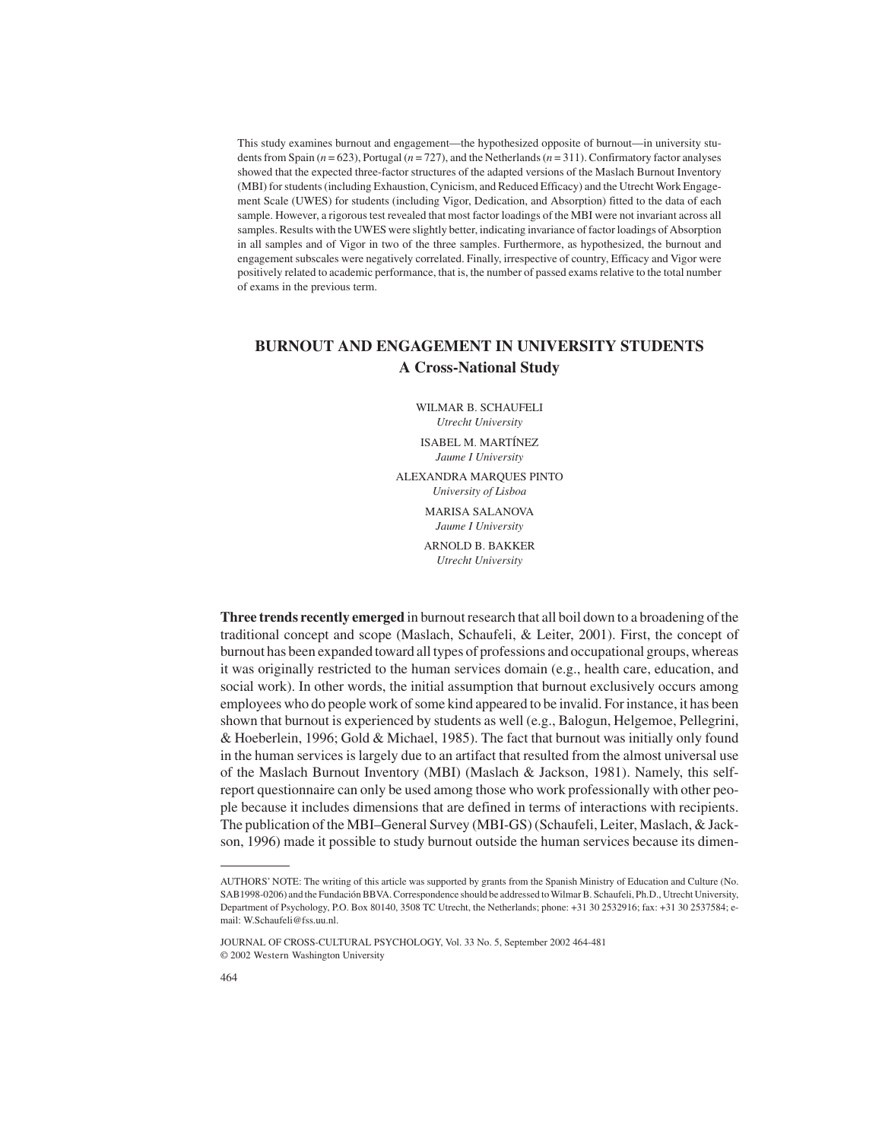This study examines burnout and engagement—the hypothesized opposite of burnout—in university students from Spain (*n* = 623), Portugal (*n* = 727), and the Netherlands (*n* = 311). Confirmatory factor analyses showed that the expected three-factor structures of the adapted versions of the Maslach Burnout Inventory (MBI) for students (including Exhaustion, Cynicism, and Reduced Efficacy) and the Utrecht Work Engagement Scale (UWES) for students (including Vigor, Dedication, and Absorption) fitted to the data of each sample. However, a rigorous test revealed that most factor loadings of the MBI were not invariant across all samples. Results with the UWES were slightly better, indicating invariance of factor loadings of Absorption in all samples and of Vigor in two of the three samples. Furthermore, as hypothesized, the burnout and engagement subscales were negatively correlated. Finally, irrespective of country, Efficacy and Vigor were positively related to academic performance, that is, the number of passed exams relative to the total number of exams in the previous term.

# **BURNOUT AND ENGAGEMENT IN UNIVERSITY STUDENTS A Cross-National Study**

WILMAR B. SCHAUFELI *Utrecht University*

ISABEL M. MARTÍNEZ *Jaume I University*

ALEXANDRA MARQUES PINTO *University of Lisboa*

> MARISA SALANOVA *Jaume I University*

> ARNOLD B. BAKKER *Utrecht University*

**Three trends recently emerged** in burnout research that all boil down to a broadening of the traditional concept and scope (Maslach, Schaufeli, & Leiter, 2001). First, the concept of burnout has been expanded toward all types of professions and occupational groups, whereas it was originally restricted to the human services domain (e.g., health care, education, and social work). In other words, the initial assumption that burnout exclusively occurs among employees who do people work of some kind appeared to be invalid. For instance, it has been shown that burnout is experienced by students as well (e.g., Balogun, Helgemoe, Pellegrini, & Hoeberlein, 1996; Gold & Michael, 1985). The fact that burnout was initially only found in the human services is largely due to an artifact that resulted from the almost universal use of the Maslach Burnout Inventory (MBI) (Maslach & Jackson, 1981). Namely, this selfreport questionnaire can only be used among those who work professionally with other people because it includes dimensions that are defined in terms of interactions with recipients. The publication of the MBI–General Survey (MBI-GS) (Schaufeli, Leiter, Maslach, & Jackson, 1996) made it possible to study burnout outside the human services because its dimen-

AUTHORS'NOTE: The writing of this article was supported by grants from the Spanish Ministry of Education and Culture (No. SAB1998-0206) and the Fundación BBVA. Correspondence should be addressed to Wilmar B. Schaufeli, Ph.D., Utrecht University, Department of Psychology, P.O. Box 80140, 3508 TC Utrecht, the Netherlands; phone: +31 30 2532916; fax: +31 30 2537584; email: W.Schaufeli@fss.uu.nl.

JOURNAL OF CROSS-CULTURAL PSYCHOLOGY, Vol. 33 No. 5, September 2002 464-481 © 2002 Western Washington University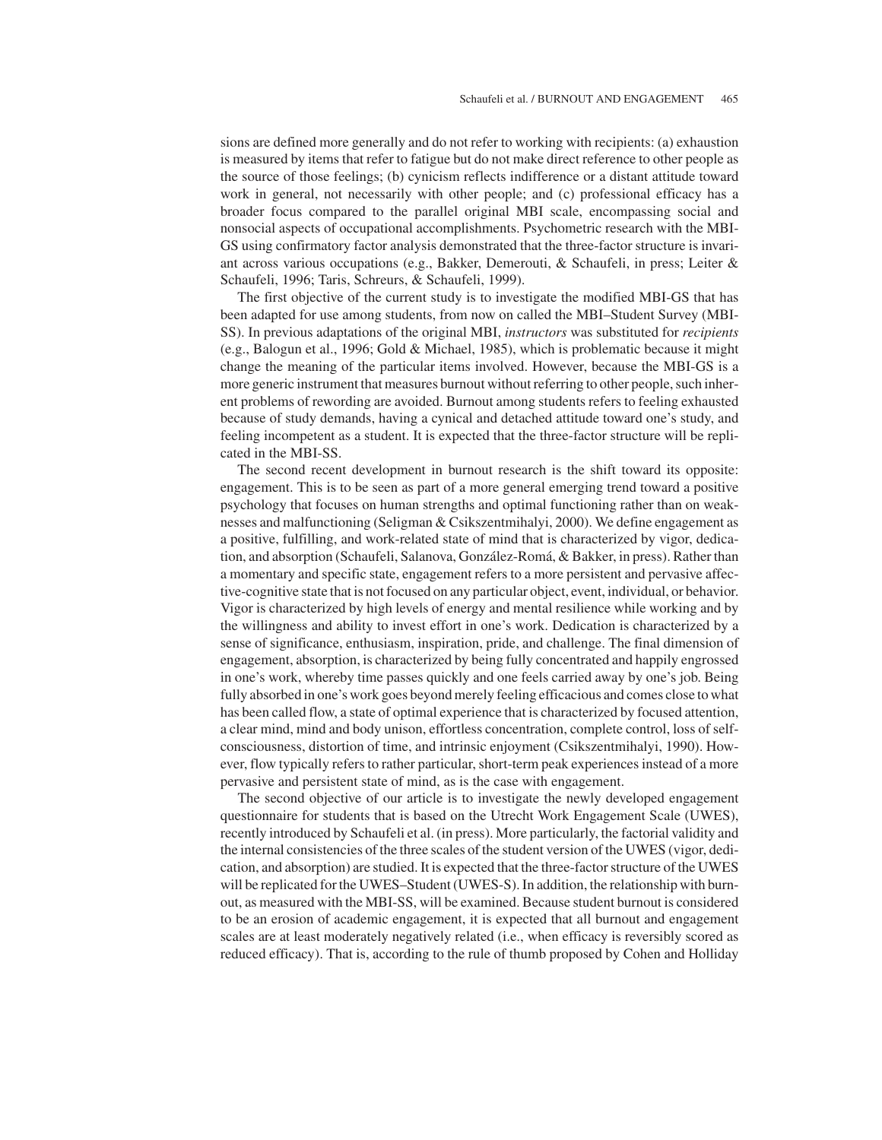sions are defined more generally and do not refer to working with recipients: (a) exhaustion is measured by items that refer to fatigue but do not make direct reference to other people as the source of those feelings; (b) cynicism reflects indifference or a distant attitude toward work in general, not necessarily with other people; and (c) professional efficacy has a broader focus compared to the parallel original MBI scale, encompassing social and nonsocial aspects of occupational accomplishments. Psychometric research with the MBI-GS using confirmatory factor analysis demonstrated that the three-factor structure is invariant across various occupations (e.g., Bakker, Demerouti, & Schaufeli, in press; Leiter & Schaufeli, 1996; Taris, Schreurs, & Schaufeli, 1999).

The first objective of the current study is to investigate the modified MBI-GS that has been adapted for use among students, from now on called the MBI–Student Survey (MBI-SS). In previous adaptations of the original MBI, *instructors* was substituted for *recipients* (e.g., Balogun et al., 1996; Gold & Michael, 1985), which is problematic because it might change the meaning of the particular items involved. However, because the MBI-GS is a more generic instrument that measures burnout without referring to other people, such inherent problems of rewording are avoided. Burnout among students refers to feeling exhausted because of study demands, having a cynical and detached attitude toward one's study, and feeling incompetent as a student. It is expected that the three-factor structure will be replicated in the MBI-SS.

The second recent development in burnout research is the shift toward its opposite: engagement. This is to be seen as part of a more general emerging trend toward a positive psychology that focuses on human strengths and optimal functioning rather than on weaknesses and malfunctioning (Seligman & Csikszentmihalyi, 2000). We define engagement as a positive, fulfilling, and work-related state of mind that is characterized by vigor, dedication, and absorption (Schaufeli, Salanova, González-Romá, & Bakker, in press). Rather than a momentary and specific state, engagement refers to a more persistent and pervasive affective-cognitive state that is not focused on any particular object, event, individual, or behavior. Vigor is characterized by high levels of energy and mental resilience while working and by the willingness and ability to invest effort in one's work. Dedication is characterized by a sense of significance, enthusiasm, inspiration, pride, and challenge. The final dimension of engagement, absorption, is characterized by being fully concentrated and happily engrossed in one's work, whereby time passes quickly and one feels carried away by one's job. Being fully absorbed in one's work goes beyond merely feeling efficacious and comes close to what has been called flow, a state of optimal experience that is characterized by focused attention, a clear mind, mind and body unison, effortless concentration, complete control, loss of selfconsciousness, distortion of time, and intrinsic enjoyment (Csikszentmihalyi, 1990). However, flow typically refers to rather particular, short-term peak experiences instead of a more pervasive and persistent state of mind, as is the case with engagement.

The second objective of our article is to investigate the newly developed engagement questionnaire for students that is based on the Utrecht Work Engagement Scale (UWES), recently introduced by Schaufeli et al. (in press). More particularly, the factorial validity and the internal consistencies of the three scales of the student version of the UWES (vigor, dedication, and absorption) are studied. It is expected that the three-factor structure of the UWES will be replicated for the UWES–Student (UWES-S). In addition, the relationship with burnout, as measured with the MBI-SS, will be examined. Because student burnout is considered to be an erosion of academic engagement, it is expected that all burnout and engagement scales are at least moderately negatively related (i.e., when efficacy is reversibly scored as reduced efficacy). That is, according to the rule of thumb proposed by Cohen and Holliday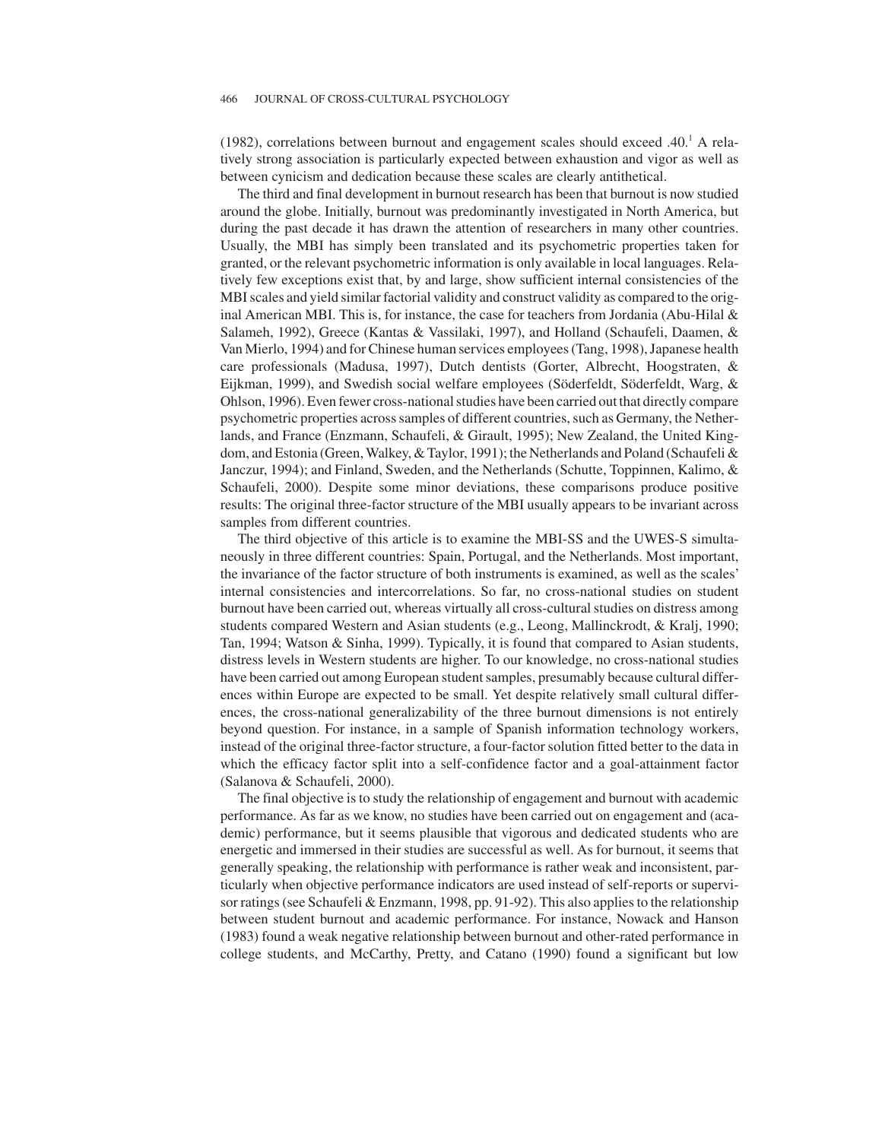(1982), correlations between burnout and engagement scales should exceed  $.40<sup>1</sup>$  A relatively strong association is particularly expected between exhaustion and vigor as well as between cynicism and dedication because these scales are clearly antithetical.

The third and final development in burnout research has been that burnout is now studied around the globe. Initially, burnout was predominantly investigated in North America, but during the past decade it has drawn the attention of researchers in many other countries. Usually, the MBI has simply been translated and its psychometric properties taken for granted, or the relevant psychometric information is only available in local languages. Relatively few exceptions exist that, by and large, show sufficient internal consistencies of the MBI scales and yield similar factorial validity and construct validity as compared to the original American MBI. This is, for instance, the case for teachers from Jordania (Abu-Hilal  $\&$ Salameh, 1992), Greece (Kantas & Vassilaki, 1997), and Holland (Schaufeli, Daamen, & Van Mierlo, 1994) and for Chinese human services employees (Tang, 1998), Japanese health care professionals (Madusa, 1997), Dutch dentists (Gorter, Albrecht, Hoogstraten, & Eijkman, 1999), and Swedish social welfare employees (Söderfeldt, Söderfeldt, Warg, & Ohlson, 1996). Even fewer cross-national studies have been carried out that directly compare psychometric properties across samples of different countries, such as Germany, the Netherlands, and France (Enzmann, Schaufeli, & Girault, 1995); New Zealand, the United Kingdom, and Estonia (Green, Walkey, & Taylor, 1991); the Netherlands and Poland (Schaufeli & Janczur, 1994); and Finland, Sweden, and the Netherlands (Schutte, Toppinnen, Kalimo, & Schaufeli, 2000). Despite some minor deviations, these comparisons produce positive results: The original three-factor structure of the MBI usually appears to be invariant across samples from different countries.

The third objective of this article is to examine the MBI-SS and the UWES-S simultaneously in three different countries: Spain, Portugal, and the Netherlands. Most important, the invariance of the factor structure of both instruments is examined, as well as the scales' internal consistencies and intercorrelations. So far, no cross-national studies on student burnout have been carried out, whereas virtually all cross-cultural studies on distress among students compared Western and Asian students (e.g., Leong, Mallinckrodt, & Kralj, 1990; Tan, 1994; Watson & Sinha, 1999). Typically, it is found that compared to Asian students, distress levels in Western students are higher. To our knowledge, no cross-national studies have been carried out among European student samples, presumably because cultural differences within Europe are expected to be small. Yet despite relatively small cultural differences, the cross-national generalizability of the three burnout dimensions is not entirely beyond question. For instance, in a sample of Spanish information technology workers, instead of the original three-factor structure, a four-factor solution fitted better to the data in which the efficacy factor split into a self-confidence factor and a goal-attainment factor (Salanova & Schaufeli, 2000).

The final objective is to study the relationship of engagement and burnout with academic performance. As far as we know, no studies have been carried out on engagement and (academic) performance, but it seems plausible that vigorous and dedicated students who are energetic and immersed in their studies are successful as well. As for burnout, it seems that generally speaking, the relationship with performance is rather weak and inconsistent, particularly when objective performance indicators are used instead of self-reports or supervisor ratings (see Schaufeli & Enzmann, 1998, pp. 91-92). This also applies to the relationship between student burnout and academic performance. For instance, Nowack and Hanson (1983) found a weak negative relationship between burnout and other-rated performance in college students, and McCarthy, Pretty, and Catano (1990) found a significant but low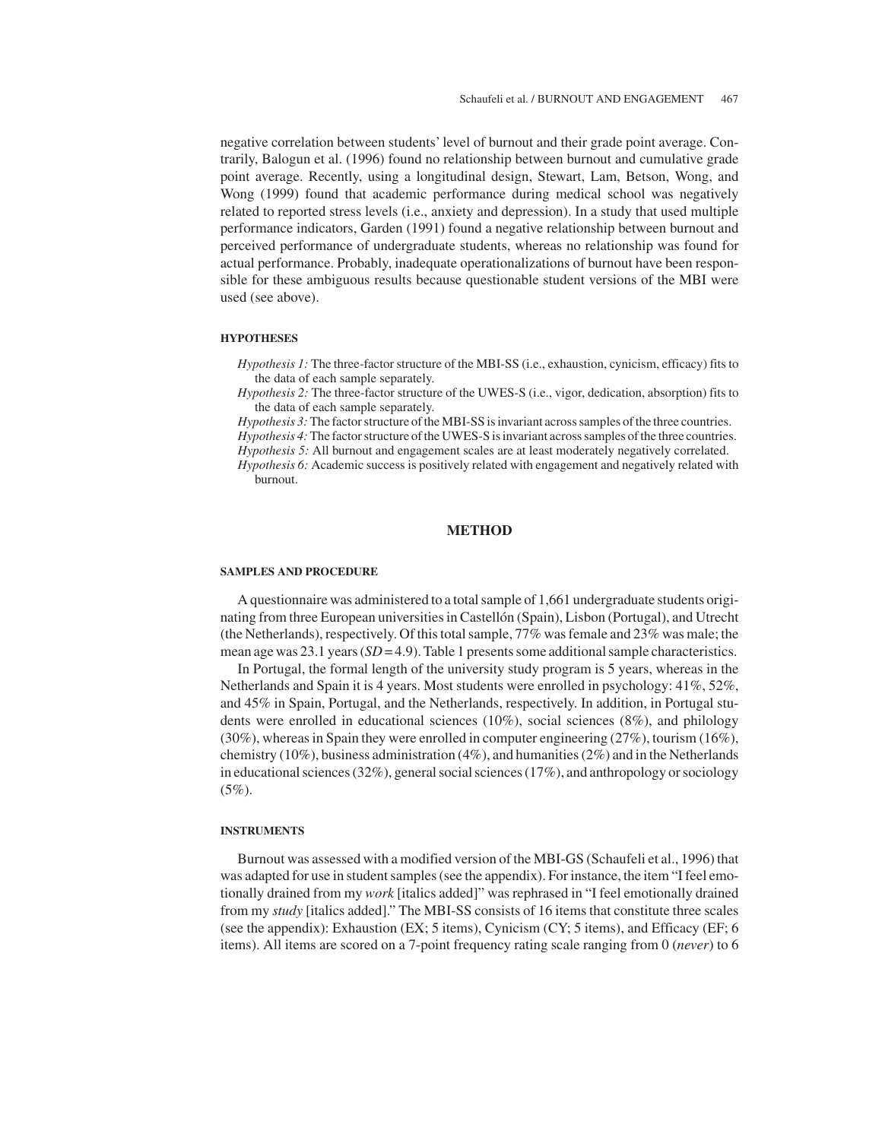negative correlation between students'level of burnout and their grade point average. Contrarily, Balogun et al. (1996) found no relationship between burnout and cumulative grade point average. Recently, using a longitudinal design, Stewart, Lam, Betson, Wong, and Wong (1999) found that academic performance during medical school was negatively related to reported stress levels (i.e., anxiety and depression). In a study that used multiple performance indicators, Garden (1991) found a negative relationship between burnout and perceived performance of undergraduate students, whereas no relationship was found for actual performance. Probably, inadequate operationalizations of burnout have been responsible for these ambiguous results because questionable student versions of the MBI were used (see above).

#### **HYPOTHESES**

*Hypothesis 1:* The three-factor structure of the MBI-SS (i.e., exhaustion, cynicism, efficacy) fits to the data of each sample separately.

*Hypothesis 2:* The three-factor structure of the UWES-S (i.e., vigor, dedication, absorption) fits to the data of each sample separately.

*Hypothesis 3:*The factor structure of the MBI-SS is invariant across samples of the three countries.

*Hypothesis 4:*The factor structure of the UWES-S is invariant across samples of the three countries. *Hypothesis 5:* All burnout and engagement scales are at least moderately negatively correlated.

*Hypothesis 6:* Academic success is positively related with engagement and negatively related with burnout.

#### **METHOD**

# **SAMPLES AND PROCEDURE**

A questionnaire was administered to a total sample of 1,661 undergraduate students originating from three European universities in Castellón (Spain), Lisbon (Portugal), and Utrecht (the Netherlands), respectively. Of this total sample, 77% was female and 23% was male; the mean age was  $23.1$  years  $(SD = 4.9)$ . Table 1 presents some additional sample characteristics.

In Portugal, the formal length of the university study program is 5 years, whereas in the Netherlands and Spain it is 4 years. Most students were enrolled in psychology: 41%, 52%, and 45% in Spain, Portugal, and the Netherlands, respectively. In addition, in Portugal students were enrolled in educational sciences (10%), social sciences (8%), and philology (30%), whereas in Spain they were enrolled in computer engineering (27%), tourism (16%), chemistry (10%), business administration (4%), and humanities (2%) and in the Netherlands in educational sciences (32%), general social sciences (17%), and anthropology or sociology (5%).

#### **INSTRUMENTS**

Burnout was assessed with a modified version of the MBI-GS (Schaufeli et al., 1996) that was adapted for use in student samples (see the appendix). For instance, the item "I feel emotionally drained from my *work* [italics added]" was rephrased in "I feel emotionally drained from my *study* [italics added]." The MBI-SS consists of 16 items that constitute three scales (see the appendix): Exhaustion (EX; 5 items), Cynicism (CY; 5 items), and Efficacy (EF; 6 items). All items are scored on a 7-point frequency rating scale ranging from 0 (*never*) to 6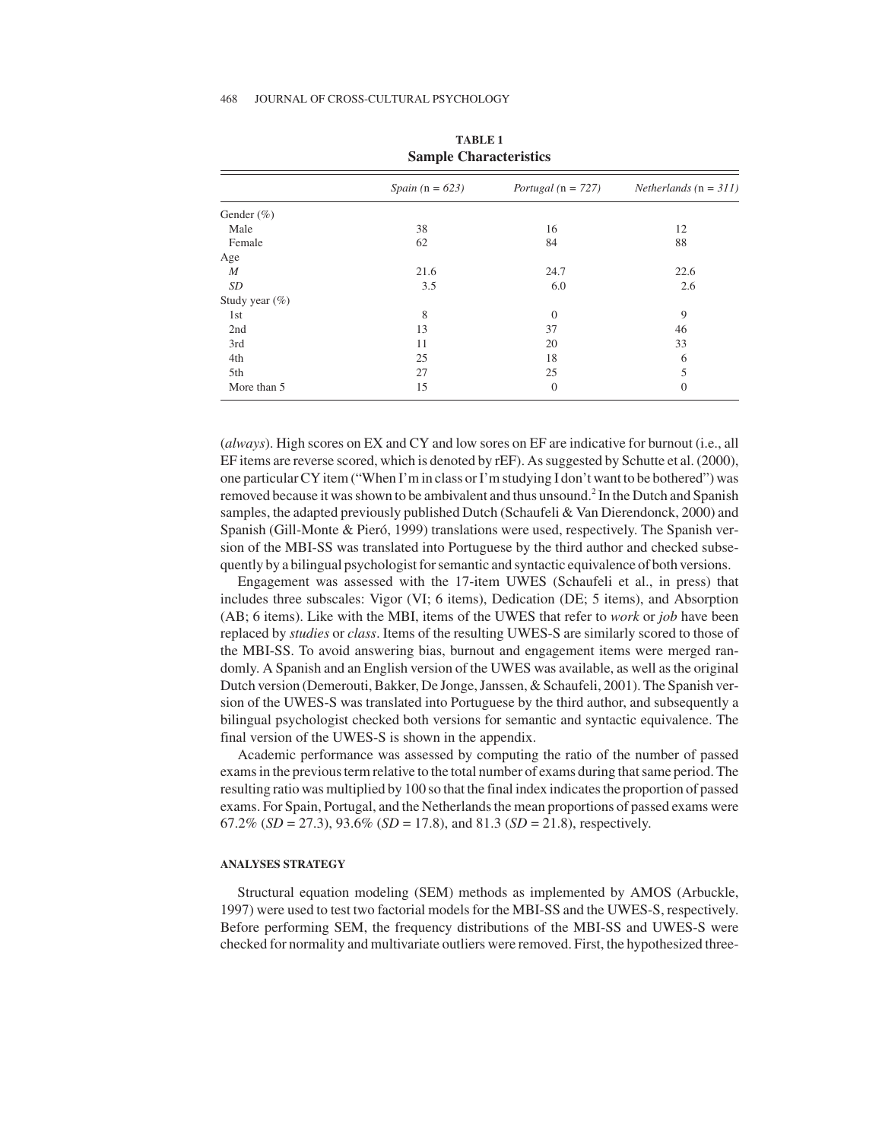| Sample Characteristics |                   |                        |                                |  |  |  |  |  |
|------------------------|-------------------|------------------------|--------------------------------|--|--|--|--|--|
|                        | Spain $(n = 623)$ | Portugal ( $n = 727$ ) | <i>Netherlands</i> $(n = 311)$ |  |  |  |  |  |
| Gender $(\% )$         |                   |                        |                                |  |  |  |  |  |
| Male                   | 38                | 16                     | 12                             |  |  |  |  |  |
| Female                 | 62                | 84                     | 88                             |  |  |  |  |  |
| Age                    |                   |                        |                                |  |  |  |  |  |
| $\boldsymbol{M}$       | 21.6              | 24.7                   | 22.6                           |  |  |  |  |  |
| SD                     | 3.5               | 6.0                    | 2.6                            |  |  |  |  |  |
| Study year $(\%)$      |                   |                        |                                |  |  |  |  |  |
| 1st                    | 8                 | $\overline{0}$         | 9                              |  |  |  |  |  |
| 2nd                    | 13                | 37                     | 46                             |  |  |  |  |  |
| 3rd                    | 11                | 20                     | 33                             |  |  |  |  |  |
| 4th                    | 25                | 18                     | 6                              |  |  |  |  |  |
| 5th                    | 27                | 25                     | 5                              |  |  |  |  |  |
| More than 5            | 15                | $\theta$               | $\mathbf{0}$                   |  |  |  |  |  |

**TABLE1 Sample Characteristics**

(*always*). High scores on EX and CY and low sores on EF are indicative for burnout (i.e., all EF items are reverse scored, which is denoted by rEF). As suggested by Schutte et al. (2000), one particular CY item ("When I'm in class or I'm studying I don't want to be bothered") was removed because it was shown to be ambivalent and thus unsound.<sup>2</sup> In the Dutch and Spanish samples, the adapted previously published Dutch (Schaufeli & Van Dierendonck, 2000) and Spanish (Gill-Monte & Pieró, 1999) translations were used, respectively. The Spanish version of the MBI-SS was translated into Portuguese by the third author and checked subsequently by a bilingual psychologist for semantic and syntactic equivalence of both versions.

Engagement was assessed with the 17-item UWES (Schaufeli et al., in press) that includes three subscales: Vigor (VI; 6 items), Dedication (DE; 5 items), and Absorption (AB; 6 items). Like with the MBI, items of the UWES that refer to *work* or *job* have been replaced by *studies* or *class*. Items of the resulting UWES-S are similarly scored to those of the MBI-SS. To avoid answering bias, burnout and engagement items were merged randomly. A Spanish and an English version of the UWES was available, as well as the original Dutch version (Demerouti, Bakker, De Jonge, Janssen, & Schaufeli, 2001). The Spanish version of the UWES-S was translated into Portuguese by the third author, and subsequently a bilingual psychologist checked both versions for semantic and syntactic equivalence. The final version of the UWES-S is shown in the appendix.

Academic performance was assessed by computing the ratio of the number of passed exams in the previous term relative to the total number of exams during that same period. The resulting ratio was multiplied by 100 so that the final index indicates the proportion of passed exams. For Spain, Portugal, and the Netherlands the mean proportions of passed exams were 67.2% (*SD* = 27.3), 93.6% (*SD* = 17.8), and 81.3 (*SD* = 21.8), respectively.

#### **ANALYSES STRATEGY**

Structural equation modeling (SEM) methods as implemented by AMOS (Arbuckle, 1997) were used to test two factorial models for the MBI-SS and the UWES-S, respectively. Before performing SEM, the frequency distributions of the MBI-SS and UWES-S were checked for normality and multivariate outliers were removed. First, the hypothesized three-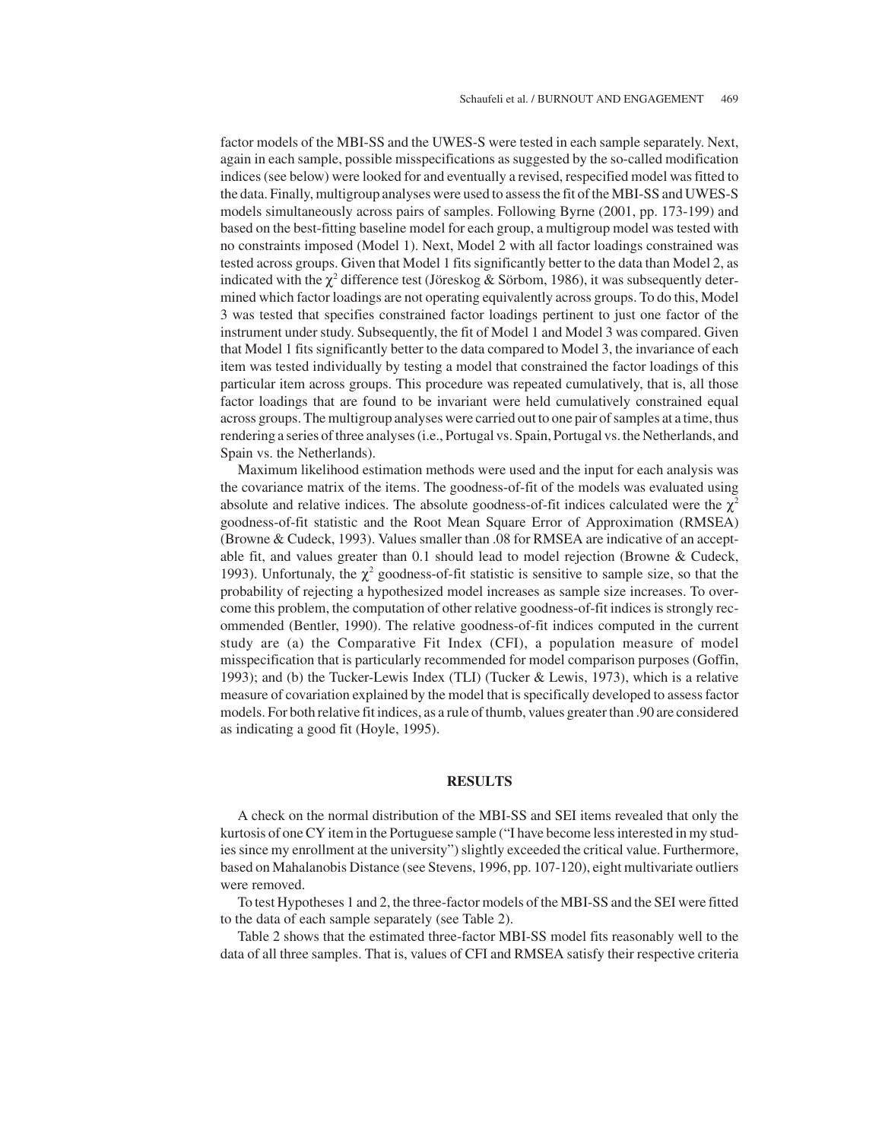factor models of the MBI-SS and the UWES-S were tested in each sample separately. Next, again in each sample, possible misspecifications as suggested by the so-called modification indices (see below) were looked for and eventually a revised, respecified model was fitted to the data. Finally, multigroup analyses were used to assess the fit of the MBI-SS and UWES-S models simultaneously across pairs of samples. Following Byrne (2001, pp. 173-199) and based on the best-fitting baseline model for each group, a multigroup model was tested with no constraints imposed (Model 1). Next, Model 2 with all factor loadings constrained was tested across groups. Given that Model 1 fits significantly better to the data than Model 2, as indicated with the  $\chi^2$  difference test (Jöreskog & Sörbom, 1986), it was subsequently determined which factor loadings are not operating equivalently across groups. To do this, Model 3 was tested that specifies constrained factor loadings pertinent to just one factor of the instrument under study. Subsequently, the fit of Model 1 and Model 3 was compared. Given that Model 1 fits significantly better to the data compared to Model 3, the invariance of each item was tested individually by testing a model that constrained the factor loadings of this particular item across groups. This procedure was repeated cumulatively, that is, all those factor loadings that are found to be invariant were held cumulatively constrained equal across groups. The multigroup analyses were carried out to one pair of samples at a time, thus rendering a series of three analyses (i.e., Portugal vs. Spain, Portugal vs. the Netherlands, and Spain vs. the Netherlands).

Maximum likelihood estimation methods were used and the input for each analysis was the covariance matrix of the items. The goodness-of-fit of the models was evaluated using absolute and relative indices. The absolute goodness-of-fit indices calculated were the  $\chi^2$ goodness-of-fit statistic and the Root Mean Square Error of Approximation (RMSEA) (Browne & Cudeck, 1993). Values smaller than .08 for RMSEA are indicative of an acceptable fit, and values greater than 0.1 should lead to model rejection (Browne & Cudeck, 1993). Unfortunaly, the  $\chi^2$  goodness-of-fit statistic is sensitive to sample size, so that the probability of rejecting a hypothesized model increases as sample size increases. To overcome this problem, the computation of other relative goodness-of-fit indices is strongly recommended (Bentler, 1990). The relative goodness-of-fit indices computed in the current study are (a) the Comparative Fit Index (CFI), a population measure of model misspecification that is particularly recommended for model comparison purposes (Goffin, 1993); and (b) the Tucker-Lewis Index (TLI) (Tucker & Lewis, 1973), which is a relative measure of covariation explained by the model that is specifically developed to assess factor models. For both relative fit indices, as a rule of thumb, values greater than .90 are considered as indicating a good fit (Hoyle, 1995).

# **RESULTS**

A check on the normal distribution of the MBI-SS and SEI items revealed that only the kurtosis of one CY item in the Portuguese sample ("I have become less interested in my studies since my enrollment at the university") slightly exceeded the critical value. Furthermore, based on Mahalanobis Distance (see Stevens, 1996, pp. 107-120), eight multivariate outliers were removed.

To test Hypotheses 1 and 2, the three-factor models of the MBI-SS and the SEI were fitted to the data of each sample separately (see Table 2).

Table 2 shows that the estimated three-factor MBI-SS model fits reasonably well to the data of all three samples. That is, values of CFI and RMSEA satisfy their respective criteria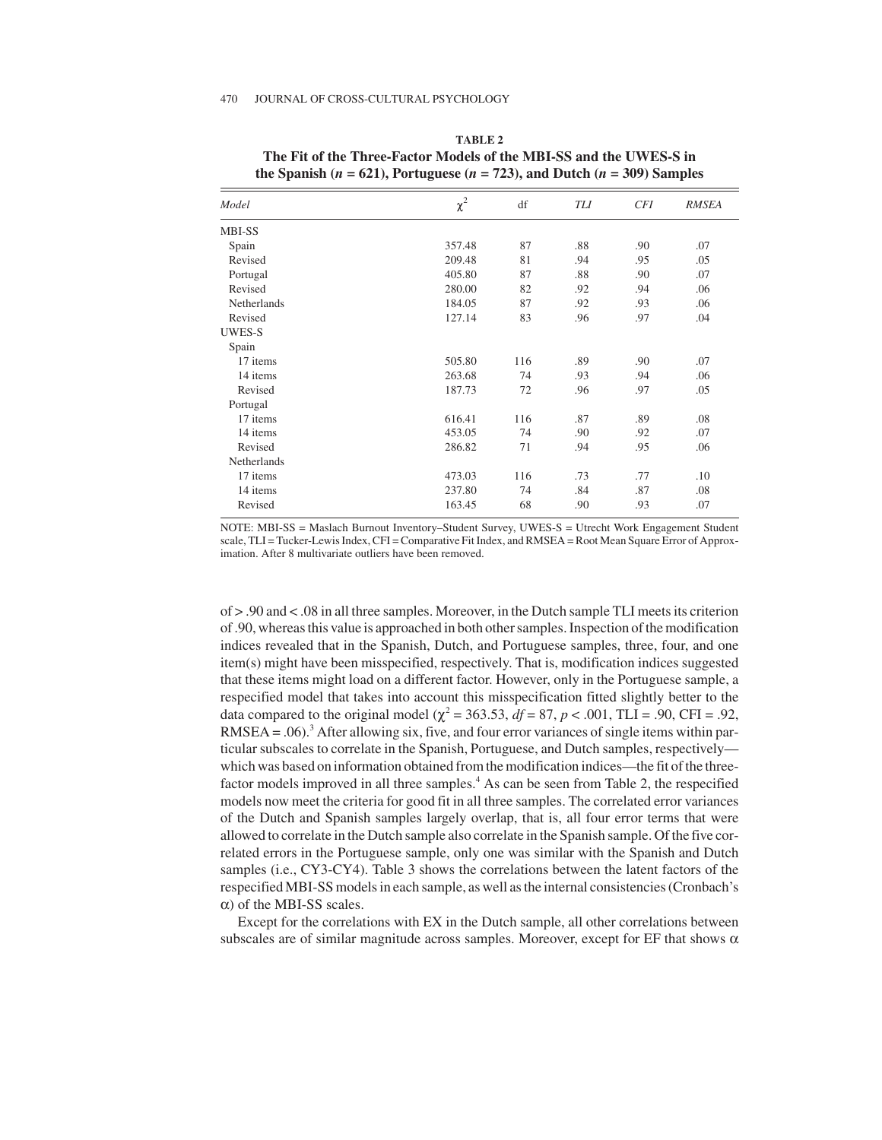| Model       | $\chi^2$ | df  | <b>TLI</b> | CFI | <b>RMSEA</b> |
|-------------|----------|-----|------------|-----|--------------|
| MBI-SS      |          |     |            |     |              |
| Spain       | 357.48   | 87  | .88        | .90 | .07          |
| Revised     | 209.48   | 81  | .94        | .95 | .05          |
| Portugal    | 405.80   | 87  | .88        | .90 | .07          |
| Revised     | 280.00   | 82  | .92        | .94 | .06          |
| Netherlands | 184.05   | 87  | .92        | .93 | .06          |
| Revised     | 127.14   | 83  | .96        | .97 | .04          |
| UWES-S      |          |     |            |     |              |
| Spain       |          |     |            |     |              |
| 17 items    | 505.80   | 116 | .89        | .90 | .07          |
| 14 items    | 263.68   | 74  | .93        | .94 | .06          |
| Revised     | 187.73   | 72  | .96        | .97 | .05          |
| Portugal    |          |     |            |     |              |
| 17 items    | 616.41   | 116 | .87        | .89 | .08          |
| 14 items    | 453.05   | 74  | .90        | .92 | .07          |
| Revised     | 286.82   | 71  | .94        | .95 | .06          |
| Netherlands |          |     |            |     |              |
| 17 items    | 473.03   | 116 | .73        | .77 | .10          |
| 14 items    | 237.80   | 74  | .84        | .87 | .08          |
| Revised     | 163.45   | 68  | .90        | .93 | .07          |
|             |          |     |            |     |              |

**TABLE2 The Fit of the Three-Factor Models of the MBI-SS and the UWES-S in** the Spanish ( $n = 621$ ), Portuguese ( $n = 723$ ), and Dutch ( $n = 309$ ) Samples

NOTE: MBI-SS = Maslach Burnout Inventory–Student Survey, UWES-S = Utrecht Work Engagement Student scale, TLI = Tucker-Lewis Index, CFI = Comparative Fit Index, and RMSEA = Root Mean Square Error of Approximation. After 8 multivariate outliers have been removed.

of > .90 and < .08 in all three samples. Moreover, in the Dutch sample TLI meets its criterion of .90, whereas this value is approached in both other samples. Inspection of the modification indices revealed that in the Spanish, Dutch, and Portuguese samples, three, four, and one item(s) might have been misspecified, respectively. That is, modification indices suggested that these items might load on a different factor. However, only in the Portuguese sample, a respecified model that takes into account this misspecification fitted slightly better to the data compared to the original model ( $\chi^2 = 363.53$ ,  $df = 87$ ,  $p < .001$ , TLI = .90, CFI = .92, RMSEA = .06).<sup>3</sup> After allowing six, five, and four error variances of single items within particular subscales to correlate in the Spanish, Portuguese, and Dutch samples, respectively which was based on information obtained from the modification indices—the fit of the threefactor models improved in all three samples.<sup>4</sup> As can be seen from Table 2, the respecified models now meet the criteria for good fit in all three samples. The correlated error variances of the Dutch and Spanish samples largely overlap, that is, all four error terms that were allowed to correlate in the Dutch sample also correlate in the Spanish sample. Of the five correlated errors in the Portuguese sample, only one was similar with the Spanish and Dutch samples (i.e., CY3-CY4). Table 3 shows the correlations between the latent factors of the respecified MBI-SS models in each sample, as well as the internal consistencies (Cronbach's α) of the MBI-SS scales.

Except for the correlations with EX in the Dutch sample, all other correlations between subscales are of similar magnitude across samples. Moreover, except for EF that shows  $\alpha$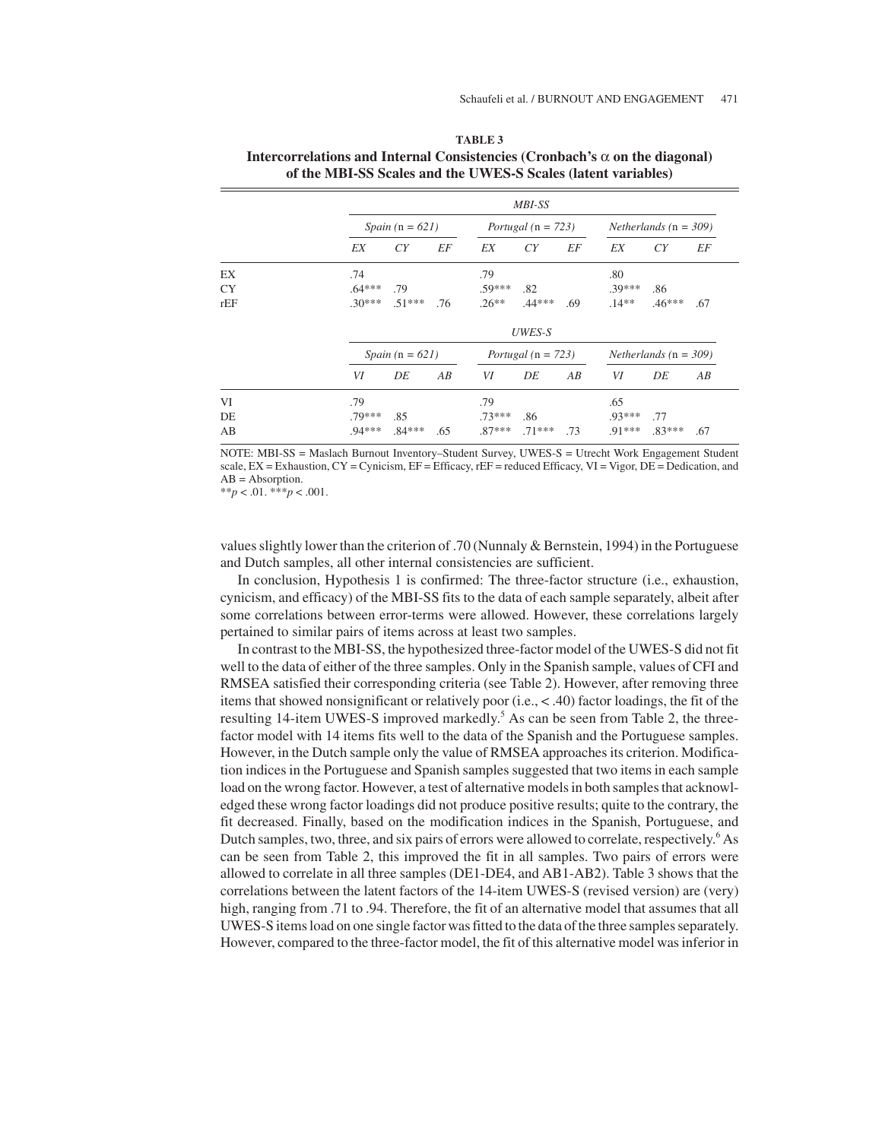|           |          |                   |     |                        | MBI-SS                 |     |                                  |                                  |     |
|-----------|----------|-------------------|-----|------------------------|------------------------|-----|----------------------------------|----------------------------------|-----|
|           |          | Spain $(n = 621)$ |     | Portugal ( $n = 723$ ) |                        |     | <i>Netherlands</i> ( $n = 309$ ) |                                  |     |
|           | EX       | CY                | EF  | EX                     | CY                     | EF  | EX                               | CY                               | EF  |
| EX        | .74      |                   |     | .79                    |                        |     | .80                              |                                  |     |
| <b>CY</b> | $.64***$ | .79               |     | $.59***$               | .82                    |     | .39***                           | .86                              |     |
| rEF       | $.30***$ | $.51***$          | .76 | $.26**$                | $.44***$               | .69 | $.14**$                          | $.46***$                         | .67 |
|           |          |                   |     |                        | UWES-S                 |     |                                  |                                  |     |
|           |          | Spain $(n = 621)$ |     |                        | Portugal ( $n = 723$ ) |     |                                  | <i>Netherlands</i> ( $n = 309$ ) |     |
|           | VI       | DE                | AB  | VI                     | DE                     | AB  | VI                               | DE                               | AB  |
| VI        | .79      |                   |     | .79                    |                        |     | .65                              |                                  |     |
| DE        | .79***   | .85               |     | $.73***$               | .86                    |     | $.93***$                         | .77                              |     |
| AB        | $.94***$ | $.84***$          | .65 | $.87***$               | $71***$                | .73 | $91***$                          | $.83***$                         | .67 |

| TABLE 3                                                                            |
|------------------------------------------------------------------------------------|
| Intercorrelations and Internal Consistencies (Cronbach's $\alpha$ on the diagonal) |
| of the MBI-SS Scales and the UWES-S Scales (latent variables)                      |

NOTE: MBI-SS = Maslach Burnout Inventory–Student Survey, UWES-S = Utrecht Work Engagement Student scale, EX = Exhaustion, CY = Cynicism, EF = Efficacy, rEF = reduced Efficacy, VI = Vigor, DE = Dedication, and AB = Absorption.

\*\**p* < .01. \*\*\**p* < .001.

values slightly lower than the criterion of .70 (Nunnaly & Bernstein, 1994) in the Portuguese and Dutch samples, all other internal consistencies are sufficient.

In conclusion, Hypothesis 1 is confirmed: The three-factor structure (i.e., exhaustion, cynicism, and efficacy) of the MBI-SS fits to the data of each sample separately, albeit after some correlations between error-terms were allowed. However, these correlations largely pertained to similar pairs of items across at least two samples.

In contrast to the MBI-SS, the hypothesized three-factor model of the UWES-S did not fit well to the data of either of the three samples. Only in the Spanish sample, values of CFI and RMSEA satisfied their corresponding criteria (see Table 2). However, after removing three items that showed nonsignificant or relatively poor (i.e., < .40) factor loadings, the fit of the resulting 14-item UWES-S improved markedly.<sup>5</sup> As can be seen from Table 2, the threefactor model with 14 items fits well to the data of the Spanish and the Portuguese samples. However, in the Dutch sample only the value of RMSEA approaches its criterion. Modification indices in the Portuguese and Spanish samples suggested that two items in each sample load on the wrong factor. However, a test of alternative models in both samples that acknowledged these wrong factor loadings did not produce positive results; quite to the contrary, the fit decreased. Finally, based on the modification indices in the Spanish, Portuguese, and Dutch samples, two, three, and six pairs of errors were allowed to correlate, respectively.<sup>6</sup> As can be seen from Table 2, this improved the fit in all samples. Two pairs of errors were allowed to correlate in all three samples (DE1-DE4, and AB1-AB2). Table 3 shows that the correlations between the latent factors of the 14-item UWES-S (revised version) are (very) high, ranging from .71 to .94. Therefore, the fit of an alternative model that assumes that all UWES-S items load on one single factor was fitted to the data of the three samples separately. However, compared to the three-factor model, the fit of this alternative model was inferior in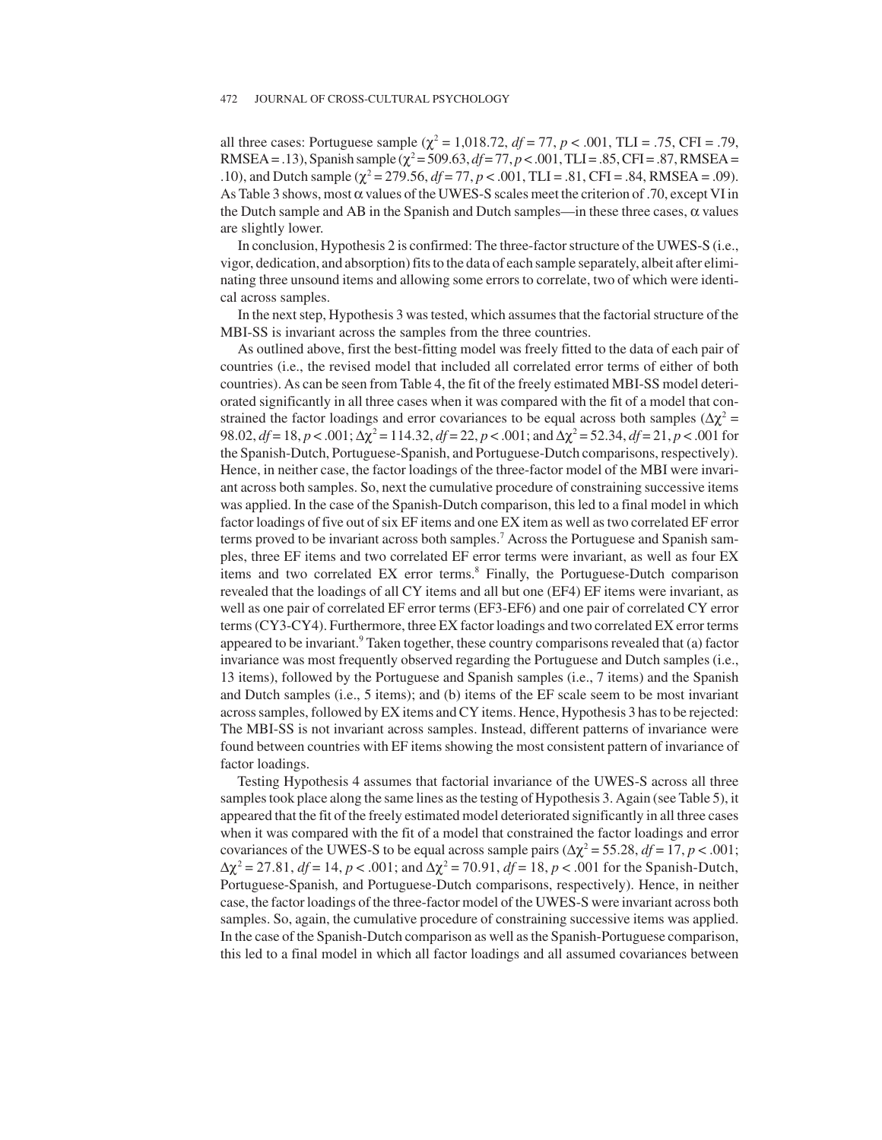all three cases: Portuguese sample ( $\chi^2$  = 1,018.72, *df* = 77, *p* < .001, TLI = .75, CFI = .79, RMSEA = .13), Spanish sample  $(\chi^2 = 509.63, df = 77, p < .001, TLI = .85, CFI = .87, RMSEA =$ .10), and Dutch sample ( $\chi^2$  = 279.56,  $df$  = 77,  $p$  < .001, TLI = .81, CFI = .84, RMSEA = .09). As Table 3 shows, most α values of the UWES-S scales meet the criterion of .70, except VI in the Dutch sample and AB in the Spanish and Dutch samples—in these three cases,  $\alpha$  values are slightly lower.

In conclusion, Hypothesis 2 is confirmed: The three-factor structure of the UWES-S (i.e., vigor, dedication, and absorption) fits to the data of each sample separately, albeit after eliminating three unsound items and allowing some errors to correlate, two of which were identical across samples.

In the next step, Hypothesis 3 was tested, which assumes that the factorial structure of the MBI-SS is invariant across the samples from the three countries.

As outlined above, first the best-fitting model was freely fitted to the data of each pair of countries (i.e., the revised model that included all correlated error terms of either of both countries). As can be seen from Table 4, the fit of the freely estimated MBI-SS model deteriorated significantly in all three cases when it was compared with the fit of a model that constrained the factor loadings and error covariances to be equal across both samples ( $\Delta \chi^2$  = 98.02,  $df = 18$ ,  $p < .001$ ;  $\Delta \chi^2 = 114.32$ ,  $df = 22$ ,  $p < .001$ ; and  $\Delta \chi^2 = 52.34$ ,  $df = 21$ ,  $p < .001$  for the Spanish-Dutch, Portuguese-Spanish, and Portuguese-Dutch comparisons, respectively). Hence, in neither case, the factor loadings of the three-factor model of the MBI were invariant across both samples. So, next the cumulative procedure of constraining successive items was applied. In the case of the Spanish-Dutch comparison, this led to a final model in which factor loadings of five out of six EF items and one EX item as well as two correlated EF error terms proved to be invariant across both samples.<sup>7</sup> Across the Portuguese and Spanish samples, three EF items and two correlated EF error terms were invariant, as well as four EX items and two correlated EX error terms.<sup>8</sup> Finally, the Portuguese-Dutch comparison revealed that the loadings of all CY items and all but one (EF4) EF items were invariant, as well as one pair of correlated EF error terms (EF3-EF6) and one pair of correlated CY error terms (CY3-CY4). Furthermore, three EX factor loadings and two correlated EX error terms appeared to be invariant.<sup>9</sup> Taken together, these country comparisons revealed that (a) factor invariance was most frequently observed regarding the Portuguese and Dutch samples (i.e., 13 items), followed by the Portuguese and Spanish samples (i.e., 7 items) and the Spanish and Dutch samples (i.e., 5 items); and (b) items of the EF scale seem to be most invariant across samples, followed by EX items and CY items. Hence, Hypothesis 3 has to be rejected: The MBI-SS is not invariant across samples. Instead, different patterns of invariance were found between countries with EF items showing the most consistent pattern of invariance of factor loadings.

Testing Hypothesis 4 assumes that factorial invariance of the UWES-S across all three samples took place along the same lines as the testing of Hypothesis 3. Again (see Table 5), it appeared that the fit of the freely estimated model deteriorated significantly in all three cases when it was compared with the fit of a model that constrained the factor loadings and error covariances of the UWES-S to be equal across sample pairs ( $\Delta \chi^2 = 55.28$ ,  $df = 17$ ,  $p < .001$ ;  $\Delta \chi^2 = 27.81$ , *df* = 14, *p* < .001; and  $\Delta \chi^2 = 70.91$ , *df* = 18, *p* < .001 for the Spanish-Dutch, Portuguese-Spanish, and Portuguese-Dutch comparisons, respectively). Hence, in neither case, the factor loadings of the three-factor model of the UWES-S were invariant across both samples. So, again, the cumulative procedure of constraining successive items was applied. In the case of the Spanish-Dutch comparison as well as the Spanish-Portuguese comparison, this led to a final model in which all factor loadings and all assumed covariances between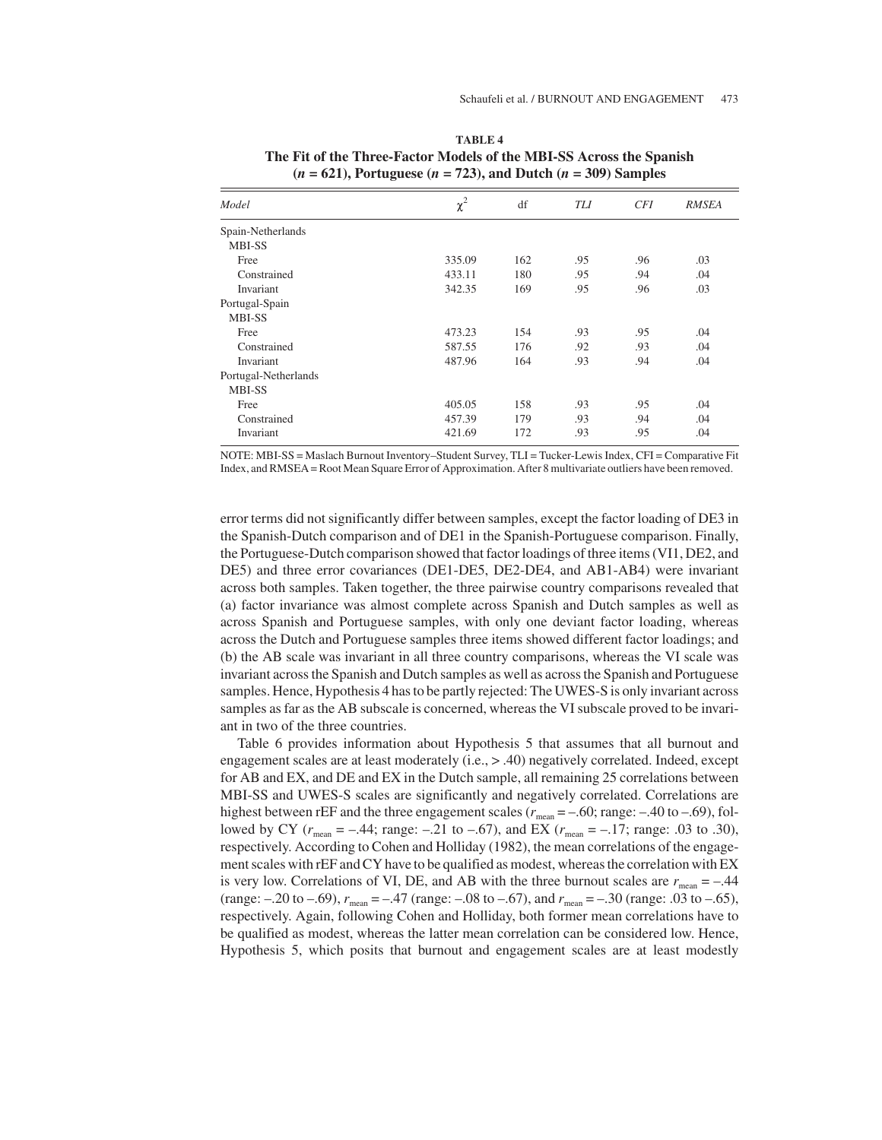| Model                | $\chi^2$ | df  | TLI | CFI | <b>RMSEA</b> |
|----------------------|----------|-----|-----|-----|--------------|
| Spain-Netherlands    |          |     |     |     |              |
| <b>MBI-SS</b>        |          |     |     |     |              |
| Free                 | 335.09   | 162 | .95 | .96 | .03          |
| Constrained          | 433.11   | 180 | .95 | .94 | .04          |
| Invariant            | 342.35   | 169 | .95 | .96 | .03          |
| Portugal-Spain       |          |     |     |     |              |
| <b>MBI-SS</b>        |          |     |     |     |              |
| Free                 | 473.23   | 154 | .93 | .95 | .04          |
| Constrained          | 587.55   | 176 | .92 | .93 | .04          |
| Invariant            | 487.96   | 164 | .93 | .94 | .04          |
| Portugal-Netherlands |          |     |     |     |              |
| <b>MBI-SS</b>        |          |     |     |     |              |
| Free                 | 405.05   | 158 | .93 | .95 | .04          |
| Constrained          | 457.39   | 179 | .93 | .94 | .04          |
| Invariant            | 421.69   | 172 | .93 | .95 | .04          |

**TABLE4 The Fit of the Three-Factor Models of the MBI-SS Across the Spanish (***n* **= 621), Portuguese (***n* **= 723), and Dutch (***n* **= 309) Samples**

NOTE: MBI-SS = Maslach Burnout Inventory–Student Survey, TLI = Tucker-Lewis Index, CFI = Comparative Fit Index, and RMSEA = Root Mean Square Error of Approximation. After 8 multivariate outliers have been removed.

error terms did not significantly differ between samples, except the factor loading of DE3 in the Spanish-Dutch comparison and of DE1 in the Spanish-Portuguese comparison. Finally, the Portuguese-Dutch comparison showed that factor loadings of three items (VI1, DE2, and DE5) and three error covariances (DE1-DE5, DE2-DE4, and AB1-AB4) were invariant across both samples. Taken together, the three pairwise country comparisons revealed that (a) factor invariance was almost complete across Spanish and Dutch samples as well as across Spanish and Portuguese samples, with only one deviant factor loading, whereas across the Dutch and Portuguese samples three items showed different factor loadings; and (b) the AB scale was invariant in all three country comparisons, whereas the VI scale was invariant across the Spanish and Dutch samples as well as across the Spanish and Portuguese samples. Hence, Hypothesis 4 has to be partly rejected: The UWES-S is only invariant across samples as far as the AB subscale is concerned, whereas the VI subscale proved to be invariant in two of the three countries.

Table 6 provides information about Hypothesis 5 that assumes that all burnout and engagement scales are at least moderately (i.e., > .40) negatively correlated. Indeed, except for AB and EX, and DE and EX in the Dutch sample, all remaining 25 correlations between MBI-SS and UWES-S scales are significantly and negatively correlated. Correlations are highest between rEF and the three engagement scales ( $r_{\text{mean}} = -.60$ ; range:  $-.40$  to  $-.69$ ), followed by CY ( $r_{\text{mean}} = -.44$ ; range: -.21 to -.67), and EX ( $r_{\text{mean}} = -.17$ ; range: .03 to .30), respectively. According to Cohen and Holliday (1982), the mean correlations of the engagement scales with rEF and CY have to be qualified as modest, whereas the correlation with EX is very low. Correlations of VI, DE, and AB with the three burnout scales are  $r_{\text{mean}} = -.44$ (range:  $-.20$  to  $-.69$ ),  $r_{\text{mean}} = -.47$  (range:  $-.08$  to  $-.67$ ), and  $r_{\text{mean}} = -.30$  (range:  $.03$  to  $-.65$ ), respectively. Again, following Cohen and Holliday, both former mean correlations have to be qualified as modest, whereas the latter mean correlation can be considered low. Hence, Hypothesis 5, which posits that burnout and engagement scales are at least modestly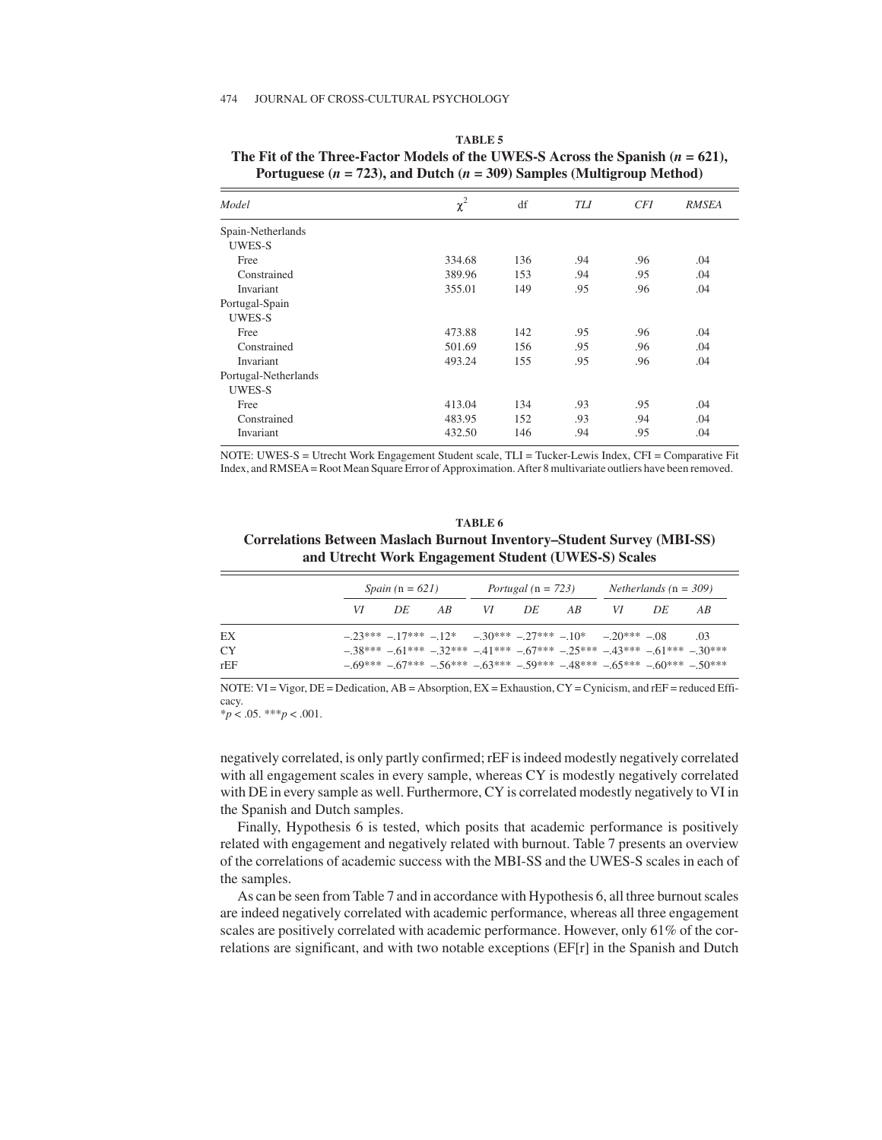| Model                    | $\chi^2$ | df  | TLI | CFI | <b>RMSEA</b> |
|--------------------------|----------|-----|-----|-----|--------------|
| Spain-Netherlands        |          |     |     |     |              |
| UWES-S                   |          |     |     |     |              |
| Free                     | 334.68   | 136 | .94 | .96 | .04          |
| Constrained              | 389.96   | 153 | .94 | .95 | .04          |
| Invariant                | 355.01   | 149 | .95 | .96 | .04          |
| Portugal-Spain<br>UWES-S |          |     |     |     |              |
| Free                     | 473.88   | 142 | .95 | .96 | .04          |
| Constrained              | 501.69   | 156 | .95 | .96 | .04          |
| Invariant                | 493.24   | 155 | .95 | .96 | .04          |
| Portugal-Netherlands     |          |     |     |     |              |
| UWES-S                   |          |     |     |     |              |
| Free                     | 413.04   | 134 | .93 | .95 | .04          |
| Constrained              | 483.95   | 152 | .93 | .94 | .04          |
| Invariant                | 432.50   | 146 | .94 | .95 | .04          |

**TABLE5 The Fit of the Three-Factor Models of the UWES-S Across the Spanish (***n* **= 621),** Portuguese  $(n = 723)$ , and Dutch  $(n = 309)$  Samples (Multigroup Method)

NOTE: UWES-S = Utrecht Work Engagement Student scale, TLI = Tucker-Lewis Index, CFI = Comparative Fit Index, and RMSEA = Root Mean Square Error of Approximation. After 8 multivariate outliers have been removed.

**TABLE6 Correlations Between Maslach Burnout Inventory–Student Survey (MBI-SS) and Utrecht Work Engagement Student (UWES-S) Scales**

|                 |     | Spain $(n = 621)$ |  | Portugal ( $n = 723$ )                                                                                                                               |  |  | <i>Netherlands</i> ( $n = 309$ ) |    |     |
|-----------------|-----|-------------------|--|------------------------------------------------------------------------------------------------------------------------------------------------------|--|--|----------------------------------|----|-----|
|                 | VI. |                   |  | DE AB VI DE AB VI                                                                                                                                    |  |  |                                  | DE | AB  |
| EX<br><b>CY</b> |     |                   |  | $-23***$ $-17***$ $-12*$ $-30***$ $-27***$ $-10*$ $-20***$ $-08$<br>$-38***$ $-61***$ $-32***$ $-41***$ $-67***$ $-25***$ $-43***$ $-61***$ $-30***$ |  |  |                                  |    | -03 |
| rEF             |     |                   |  | $-69***$ $-67***$ $-56***$ $-63***$ $-59***$ $-48***$ $-65***$ $-60***$ $-50***$                                                                     |  |  |                                  |    |     |

NOTE: VI = Vigor, DE = Dedication, AB = Absorption, EX = Exhaustion, CY = Cynicism, and rEF = reduced Efficacy.

\**p* < .05. \*\*\**p* < .001.

negatively correlated, is only partly confirmed; rEF is indeed modestly negatively correlated with all engagement scales in every sample, whereas CY is modestly negatively correlated with DE in every sample as well. Furthermore, CY is correlated modestly negatively to VI in the Spanish and Dutch samples.

Finally, Hypothesis 6 is tested, which posits that academic performance is positively related with engagement and negatively related with burnout. Table 7 presents an overview of the correlations of academic success with the MBI-SS and the UWES-S scales in each of the samples.

As can be seen from Table 7 and in accordance with Hypothesis 6, all three burnout scales are indeed negatively correlated with academic performance, whereas all three engagement scales are positively correlated with academic performance. However, only 61% of the correlations are significant, and with two notable exceptions (EF[r] in the Spanish and Dutch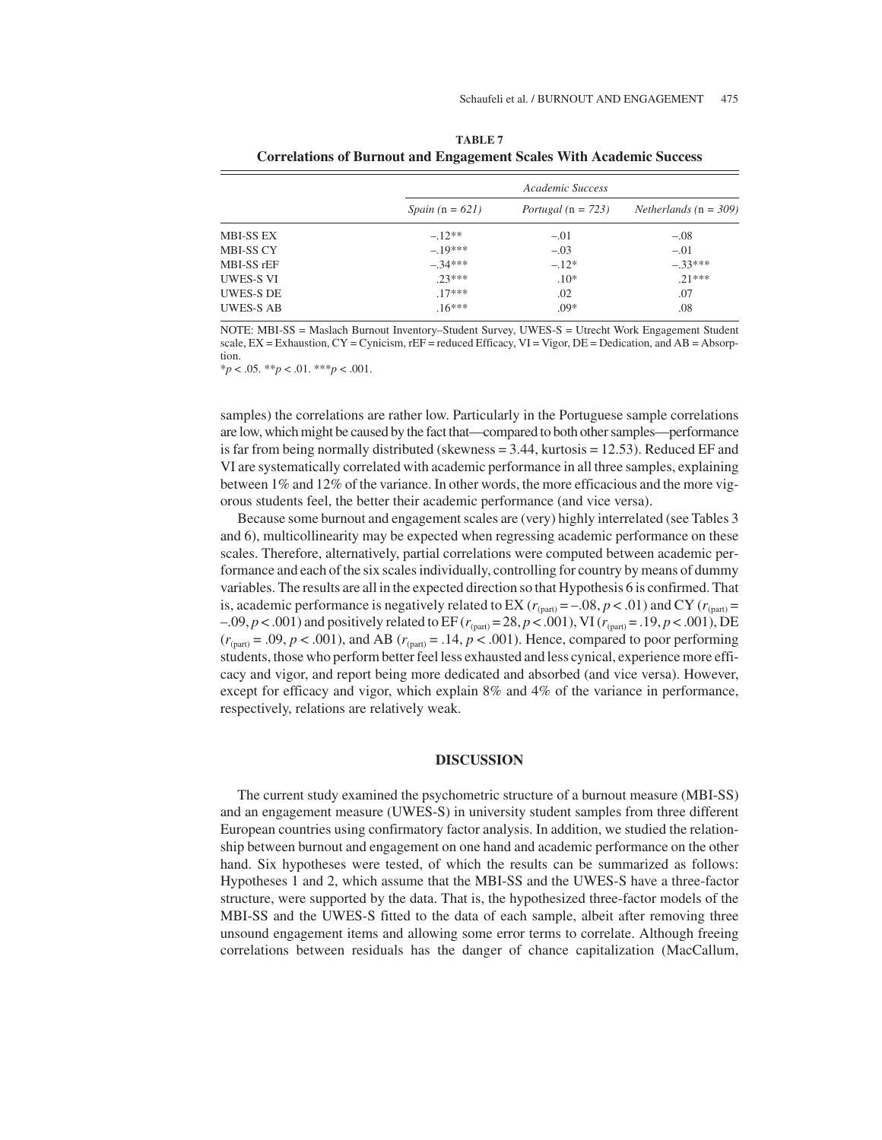|                  | Academic Success  |                        |                                  |  |  |  |
|------------------|-------------------|------------------------|----------------------------------|--|--|--|
|                  | Spain $(n = 621)$ | Portugal ( $n = 723$ ) | <i>Netherlands</i> ( $n = 309$ ) |  |  |  |
| MBI-SS EX        | $-.12**$          | $-.01$                 | $-.08$                           |  |  |  |
| MBI-SS CY        | $-.19***$         | $-.03$                 | $-.01$                           |  |  |  |
| MBI-SS rEF       | $-.34***$         | $-.12*$                | $-.33***$                        |  |  |  |
| UWES-S VI        | $23***$           | $.10*$                 | $21***$                          |  |  |  |
| <b>UWES-S DE</b> | $.17***$          | .02                    | .07                              |  |  |  |
| <b>UWES-S AB</b> | $.16***$          | $.09*$                 | .08                              |  |  |  |

**TABLE7 Correlations of Burnout and Engagement Scales With Academic Success**

NOTE: MBI-SS = Maslach Burnout Inventory–Student Survey, UWES-S = Utrecht Work Engagement Student scale, EX = Exhaustion, CY = Cynicism, rEF = reduced Efficacy, VI = Vigor, DE = Dedication, and AB = Absorption.

\**p* < .05. \*\**p* < .01. \*\*\**p* < .001.

samples) the correlations are rather low. Particularly in the Portuguese sample correlations are low, which might be caused by the fact that—compared to both other samples—performance is far from being normally distributed (skewness = 3.44, kurtosis = 12.53). Reduced EF and VI are systematically correlated with academic performance in all three samples, explaining between 1% and 12% of the variance. In other words, the more efficacious and the more vigorous students feel, the better their academic performance (and vice versa).

Because some burnout and engagement scales are (very) highly interrelated (see Tables 3 and 6), multicollinearity may be expected when regressing academic performance on these scales. Therefore, alternatively, partial correlations were computed between academic performance and each of the six scales individually, controlling for country by means of dummy variables. The results are all in the expected direction so that Hypothesis 6 is confirmed. That is, academic performance is negatively related to EX ( $r_{\text{(part)}} = -.08, p < .01$ ) and CY ( $r_{\text{(part)}} =$  $-0.09, p < 0.01$  and positively related to EF ( $r_{(part)} = 28, p < 0.01$ ), VI ( $r_{(part)} = 1.19, p < 0.01$ ), DE  $(r<sub>(part)</sub> = .09, p < .001)$ , and AB  $(r<sub>(part)</sub> = .14, p < .001)$ . Hence, compared to poor performing students, those who perform better feel less exhausted and less cynical, experience more efficacy and vigor, and report being more dedicated and absorbed (and vice versa). However, except for efficacy and vigor, which explain 8% and 4% of the variance in performance, respectively, relations are relatively weak.

#### **DISCUSSION**

The current study examined the psychometric structure of a burnout measure (MBI-SS) and an engagement measure (UWES-S) in university student samples from three different European countries using confirmatory factor analysis. In addition, we studied the relationship between burnout and engagement on one hand and academic performance on the other hand. Six hypotheses were tested, of which the results can be summarized as follows: Hypotheses 1 and 2, which assume that the MBI-SS and the UWES-S have a three-factor structure, were supported by the data. That is, the hypothesized three-factor models of the MBI-SS and the UWES-S fitted to the data of each sample, albeit after removing three unsound engagement items and allowing some error terms to correlate. Although freeing correlations between residuals has the danger of chance capitalization (MacCallum,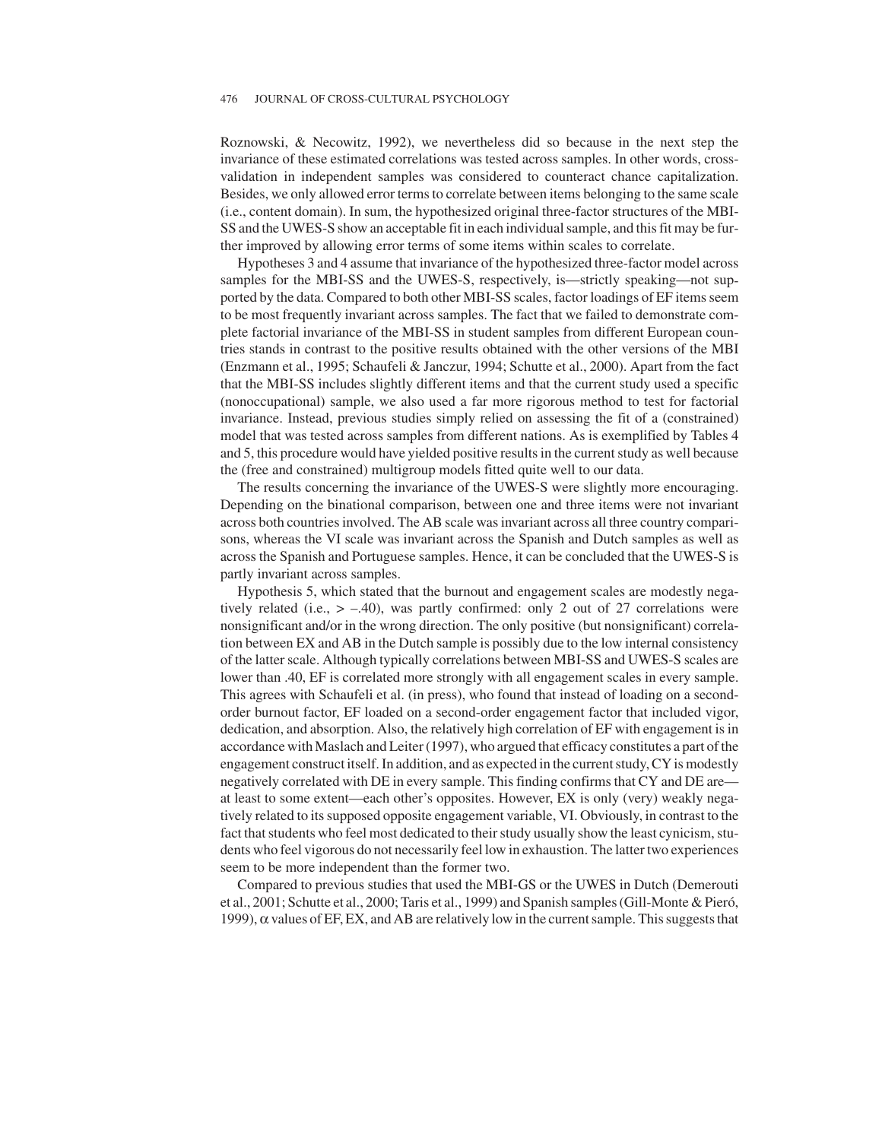Roznowski, & Necowitz, 1992), we nevertheless did so because in the next step the invariance of these estimated correlations was tested across samples. In other words, crossvalidation in independent samples was considered to counteract chance capitalization. Besides, we only allowed error terms to correlate between items belonging to the same scale (i.e., content domain). In sum, the hypothesized original three-factor structures of the MBI-SS and the UWES-S show an acceptable fit in each individual sample, and this fit may be further improved by allowing error terms of some items within scales to correlate.

Hypotheses 3 and 4 assume that invariance of the hypothesized three-factor model across samples for the MBI-SS and the UWES-S, respectively, is—strictly speaking—not supported by the data. Compared to both other MBI-SS scales, factor loadings of EF items seem to be most frequently invariant across samples. The fact that we failed to demonstrate complete factorial invariance of the MBI-SS in student samples from different European countries stands in contrast to the positive results obtained with the other versions of the MBI (Enzmann et al., 1995; Schaufeli & Janczur, 1994; Schutte et al., 2000). Apart from the fact that the MBI-SS includes slightly different items and that the current study used a specific (nonoccupational) sample, we also used a far more rigorous method to test for factorial invariance. Instead, previous studies simply relied on assessing the fit of a (constrained) model that was tested across samples from different nations. As is exemplified by Tables 4 and 5, this procedure would have yielded positive results in the current study as well because the (free and constrained) multigroup models fitted quite well to our data.

The results concerning the invariance of the UWES-S were slightly more encouraging. Depending on the binational comparison, between one and three items were not invariant across both countries involved. The AB scale was invariant across all three country comparisons, whereas the VI scale was invariant across the Spanish and Dutch samples as well as across the Spanish and Portuguese samples. Hence, it can be concluded that the UWES-S is partly invariant across samples.

Hypothesis 5, which stated that the burnout and engagement scales are modestly negatively related (i.e.,  $> -0.40$ ), was partly confirmed: only 2 out of 27 correlations were nonsignificant and/or in the wrong direction. The only positive (but nonsignificant) correlation between EX and AB in the Dutch sample is possibly due to the low internal consistency of the latter scale. Although typically correlations between MBI-SS and UWES-S scales are lower than .40, EF is correlated more strongly with all engagement scales in every sample. This agrees with Schaufeli et al. (in press), who found that instead of loading on a secondorder burnout factor, EF loaded on a second-order engagement factor that included vigor, dedication, and absorption. Also, the relatively high correlation of EF with engagement is in accordance with Maslach and Leiter (1997), who argued that efficacy constitutes a part of the engagement construct itself. In addition, and as expected in the current study, CY is modestly negatively correlated with DE in every sample. This finding confirms that CY and DE are at least to some extent—each other's opposites. However, EX is only (very) weakly negatively related to its supposed opposite engagement variable, VI. Obviously, in contrast to the fact that students who feel most dedicated to their study usually show the least cynicism, students who feel vigorous do not necessarily feel low in exhaustion. The latter two experiences seem to be more independent than the former two.

Compared to previous studies that used the MBI-GS or the UWES in Dutch (Demerouti et al., 2001; Schutte et al., 2000; Taris et al., 1999) and Spanish samples (Gill-Monte & Pieró, 1999),  $\alpha$  values of EF, EX, and AB are relatively low in the current sample. This suggests that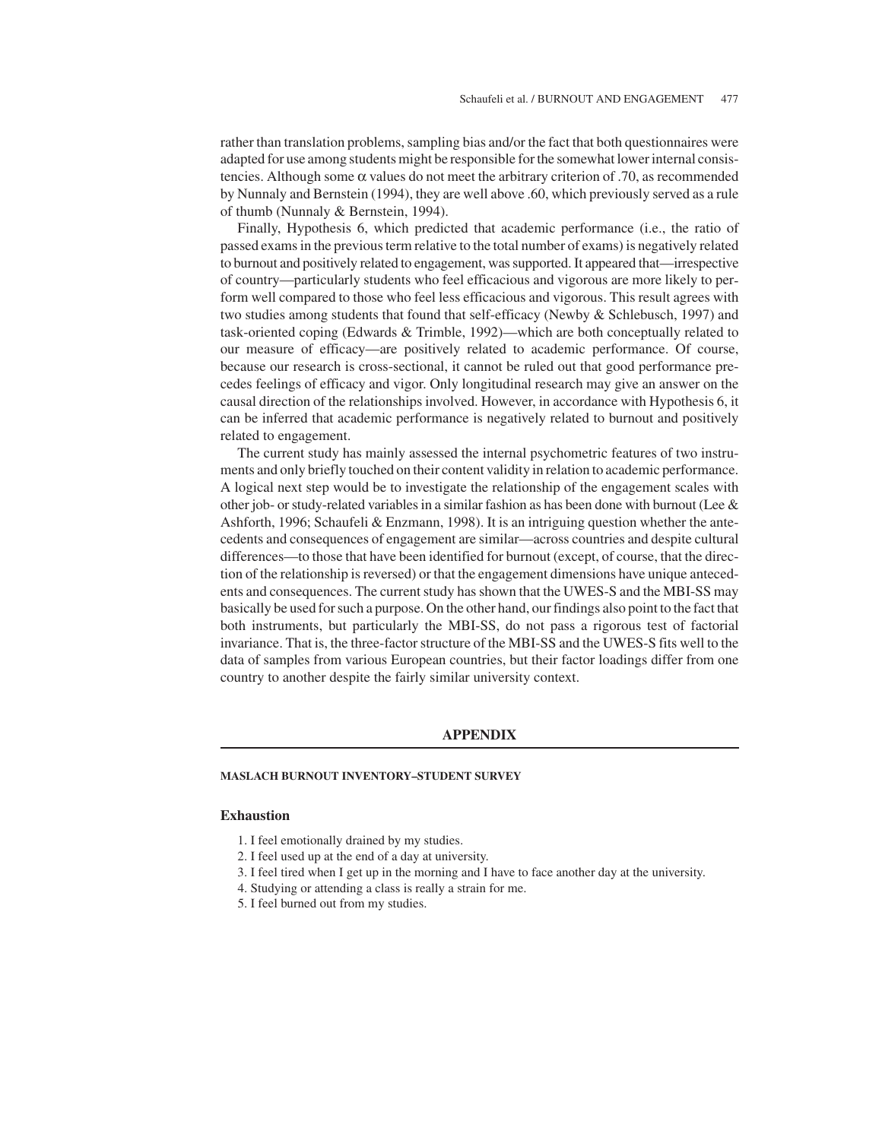rather than translation problems, sampling bias and/or the fact that both questionnaires were adapted for use among students might be responsible for the somewhat lower internal consistencies. Although some  $\alpha$  values do not meet the arbitrary criterion of .70, as recommended by Nunnaly and Bernstein (1994), they are well above .60, which previously served as a rule of thumb (Nunnaly & Bernstein, 1994).

Finally, Hypothesis 6, which predicted that academic performance (i.e., the ratio of passed exams in the previous term relative to the total number of exams) is negatively related to burnout and positively related to engagement, was supported. It appeared that—irrespective of country—particularly students who feel efficacious and vigorous are more likely to perform well compared to those who feel less efficacious and vigorous. This result agrees with two studies among students that found that self-efficacy (Newby & Schlebusch, 1997) and task-oriented coping (Edwards & Trimble, 1992)—which are both conceptually related to our measure of efficacy—are positively related to academic performance. Of course, because our research is cross-sectional, it cannot be ruled out that good performance precedes feelings of efficacy and vigor. Only longitudinal research may give an answer on the causal direction of the relationships involved. However, in accordance with Hypothesis 6, it can be inferred that academic performance is negatively related to burnout and positively related to engagement.

The current study has mainly assessed the internal psychometric features of two instruments and only briefly touched on their content validity in relation to academic performance. A logical next step would be to investigate the relationship of the engagement scales with other job- or study-related variables in a similar fashion as has been done with burnout (Lee  $\&$ Ashforth, 1996; Schaufeli & Enzmann, 1998). It is an intriguing question whether the antecedents and consequences of engagement are similar—across countries and despite cultural differences—to those that have been identified for burnout (except, of course, that the direction of the relationship is reversed) or that the engagement dimensions have unique antecedents and consequences. The current study has shown that the UWES-S and the MBI-SS may basically be used for such a purpose. On the other hand, our findings also point to the fact that both instruments, but particularly the MBI-SS, do not pass a rigorous test of factorial invariance. That is, the three-factor structure of the MBI-SS and the UWES-S fits well to the data of samples from various European countries, but their factor loadings differ from one country to another despite the fairly similar university context.

# **APPENDIX**

# **MASLACH BURNOUT INVENTORY–STUDENT SURVEY**

# **Exhaustion**

- 1. I feel emotionally drained by my studies.
- 2. I feel used up at the end of a day at university.
- 3. I feel tired when I get up in the morning and I have to face another day at the university.
- 4. Studying or attending a class is really a strain for me.
- 5. I feel burned out from my studies.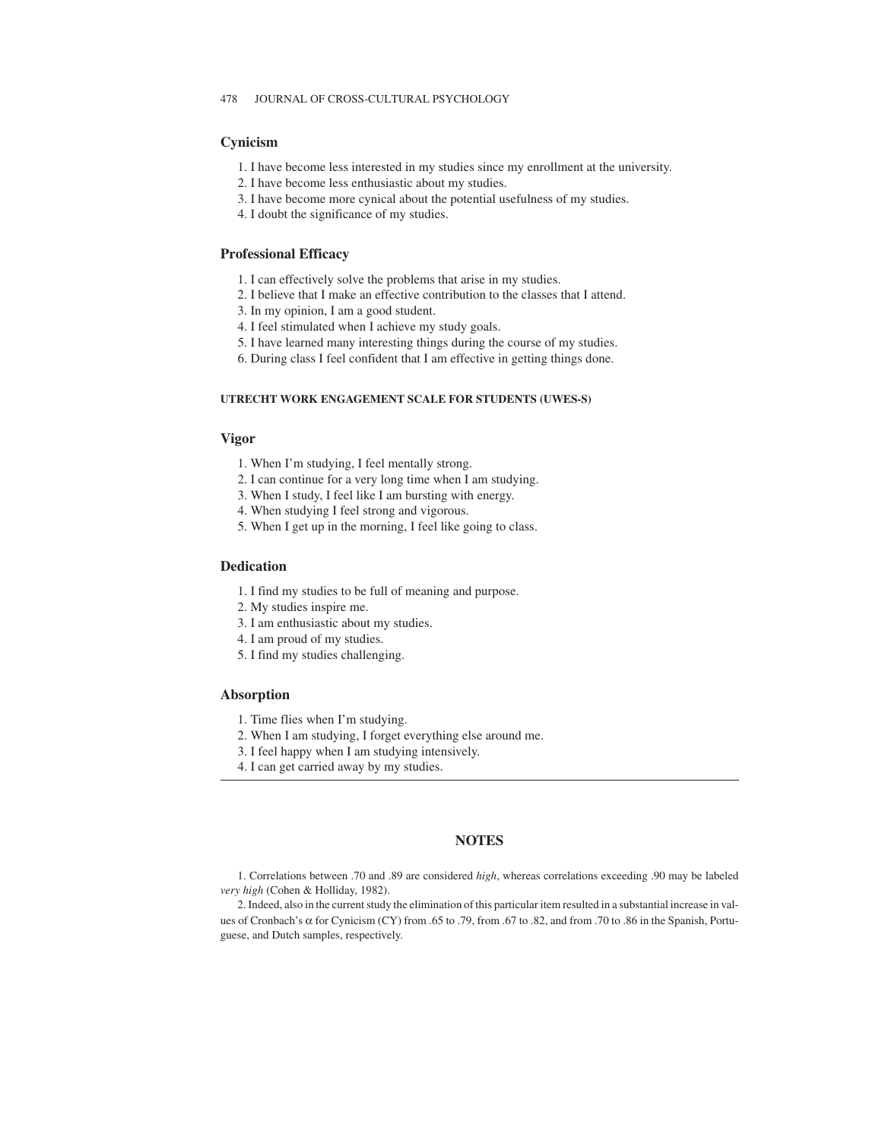### **Cynicism**

- 1. I have become less interested in my studies since my enrollment at the university.
- 2. I have become less enthusiastic about my studies.
- 3. I have become more cynical about the potential usefulness of my studies.
- 4. I doubt the significance of my studies.

### **Professional Efficacy**

- 1. I can effectively solve the problems that arise in my studies.
- 2. I believe that I make an effective contribution to the classes that I attend.
- 3. In my opinion, I am a good student.
- 4. I feel stimulated when I achieve my study goals.
- 5. I have learned many interesting things during the course of my studies.
- 6. During class I feel confident that I am effective in getting things done.

#### **UTRECHT WORK ENGAGEMENT SCALE FOR STUDENTS (UWES-S)**

# **Vigor**

- 1. When I'm studying, I feel mentally strong.
- 2. I can continue for a very long time when I am studying.
- 3. When I study, I feel like I am bursting with energy.
- 4. When studying I feel strong and vigorous.
- 5. When I get up in the morning, I feel like going to class.

# **Dedication**

- 1. I find my studies to be full of meaning and purpose.
- 2. My studies inspire me.
- 3. I am enthusiastic about my studies.
- 4. I am proud of my studies.
- 5. I find my studies challenging.

# **Absorption**

- 1. Time flies when I'm studying.
- 2. When I am studying, I forget everything else around me.
- 3. I feel happy when I am studying intensively.
- 4. I can get carried away by my studies.

# **NOTES**

1. Correlations between .70 and .89 are considered *high*, whereas correlations exceeding .90 may be labeled *very high* (Cohen & Holliday, 1982).

2. Indeed, also in the current study the elimination of this particular item resulted in a substantial increase in values of Cronbach's α for Cynicism (CY) from .65 to .79, from .67 to .82, and from .70 to .86 in the Spanish, Portuguese, and Dutch samples, respectively.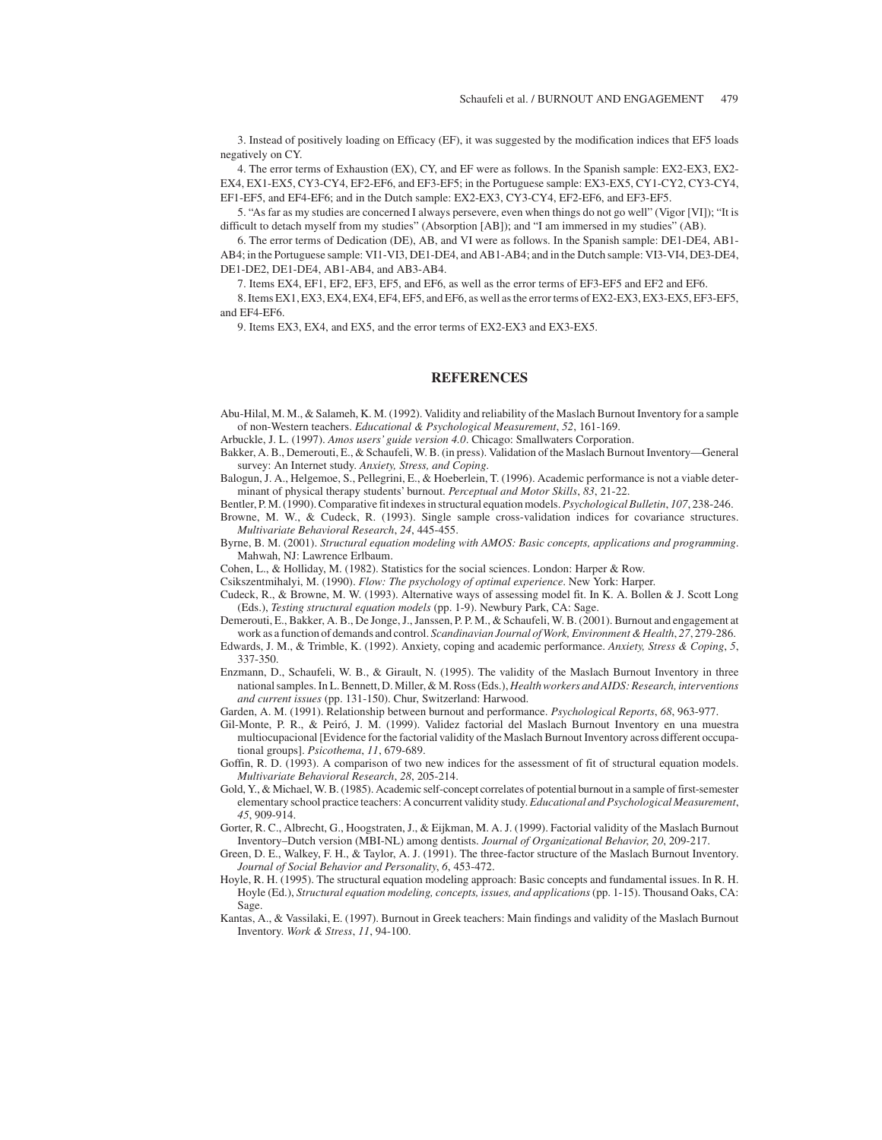3. Instead of positively loading on Efficacy (EF), it was suggested by the modification indices that EF5 loads negatively on CY.

4. The error terms of Exhaustion (EX), CY, and EF were as follows. In the Spanish sample: EX2-EX3, EX2- EX4, EX1-EX5, CY3-CY4, EF2-EF6, and EF3-EF5; in the Portuguese sample: EX3-EX5, CY1-CY2, CY3-CY4, EF1-EF5, and EF4-EF6; and in the Dutch sample: EX2-EX3, CY3-CY4, EF2-EF6, and EF3-EF5.

5. "As far as my studies are concerned I always persevere, even when things do not go well" (Vigor [VI]); "It is difficult to detach myself from my studies" (Absorption [AB]); and "I am immersed in my studies" (AB).

6. The error terms of Dedication (DE), AB, and VI were as follows. In the Spanish sample: DE1-DE4, AB1- AB4; in the Portuguese sample: VI1-VI3, DE1-DE4, and AB1-AB4; and in the Dutch sample: VI3-VI4, DE3-DE4, DE1-DE2, DE1-DE4, AB1-AB4, and AB3-AB4.

7. Items EX4, EF1, EF2, EF3, EF5, and EF6, as well as the error terms of EF3-EF5 and EF2 and EF6.

8. Items EX1, EX3, EX4, EX4, EF4, EF5, and EF6, as well as the error terms of EX2-EX3, EX3-EX5, EF3-EF5, and EF4-EF6.

9. Items EX3, EX4, and EX5, and the error terms of EX2-EX3 and EX3-EX5.

# **REFERENCES**

Abu-Hilal, M. M., & Salameh, K. M. (1992). Validity and reliability of the Maslach Burnout Inventory for a sample of non-Western teachers. *Educational & Psychological Measurement*, *52*, 161-169.

Arbuckle, J. L. (1997). *Amos users' guide version 4.0*. Chicago: Smallwaters Corporation.

Bakker, A. B., Demerouti, E., & Schaufeli, W. B. (in press). Validation of the Maslach Burnout Inventory—General survey: An Internet study. *Anxiety, Stress, and Coping*.

Balogun, J. A., Helgemoe, S., Pellegrini, E., & Hoeberlein, T. (1996). Academic performance is not a viable determinant of physical therapy students'burnout. *Perceptual and Motor Skills*, *83*, 21-22.

Bentler, P. M. (1990). Comparative fit indexes in structural equation models.*Psychological Bulletin*, *107*, 238-246.

Browne, M. W., & Cudeck, R. (1993). Single sample cross-validation indices for covariance structures. *Multivariate Behavioral Research*, *24*, 445-455.

Byrne, B. M. (2001). *Structural equation modeling with AMOS: Basic concepts, applications and programming*. Mahwah, NJ: Lawrence Erlbaum.

Cohen, L., & Holliday, M. (1982). Statistics for the social sciences. London: Harper & Row.

Csikszentmihalyi, M. (1990). *Flow: The psychology of optimal experience*. New York: Harper.

Cudeck, R., & Browne, M. W. (1993). Alternative ways of assessing model fit. In K. A. Bollen & J. Scott Long (Eds.), *Testing structural equation models* (pp. 1-9). Newbury Park, CA: Sage.

Demerouti, E., Bakker, A. B., De Jonge, J., Janssen, P. P. M., & Schaufeli, W. B. (2001). Burnout and engagement at work as a function of demands and control. *Scandinavian Journal of Work, Environment & Health*, *27*, 279-286.

- Edwards, J. M., & Trimble, K. (1992). Anxiety, coping and academic performance. *Anxiety, Stress & Coping*, *5*, 337-350.
- Enzmann, D., Schaufeli, W. B., & Girault, N. (1995). The validity of the Maslach Burnout Inventory in three national samples. In L. Bennett, D. Miller, & M. Ross (Eds.), *Health workers and AIDS: Research, interventions and current issues* (pp. 131-150). Chur, Switzerland: Harwood.
- Garden, A. M. (1991). Relationship between burnout and performance. *Psychological Reports*, *68*, 963-977.
- Gil-Monte, P. R., & Peiró, J. M. (1999). Validez factorial del Maslach Burnout Inventory en una muestra multiocupacional [Evidence for the factorial validity of the Maslach Burnout Inventory across different occupational groups]. *Psicothema*, *11*, 679-689.
- Goffin, R. D. (1993). A comparison of two new indices for the assessment of fit of structural equation models. *Multivariate Behavioral Research*, *28*, 205-214.
- Gold, Y., & Michael, W. B. (1985). Academic self-concept correlates of potential burnout in a sample of first-semester elementary school practice teachers: A concurrent validity study.*Educational and Psychological Measurement*, *45*, 909-914.
- Gorter, R. C., Albrecht, G., Hoogstraten, J., & Eijkman, M. A. J. (1999). Factorial validity of the Maslach Burnout Inventory–Dutch version (MBI-NL) among dentists. *Journal of Organizational Behavior*, *20*, 209-217.

Green, D. E., Walkey, F. H., & Taylor, A. J. (1991). The three-factor structure of the Maslach Burnout Inventory. *Journal of Social Behavior and Personality*, *6*, 453-472.

- Hoyle, R. H. (1995). The structural equation modeling approach: Basic concepts and fundamental issues. In R. H. Hoyle (Ed.), *Structural equation modeling, concepts, issues, and applications* (pp. 1-15). Thousand Oaks, CA: Sage.
- Kantas, A., & Vassilaki, E. (1997). Burnout in Greek teachers: Main findings and validity of the Maslach Burnout Inventory. *Work & Stress*, *11*, 94-100.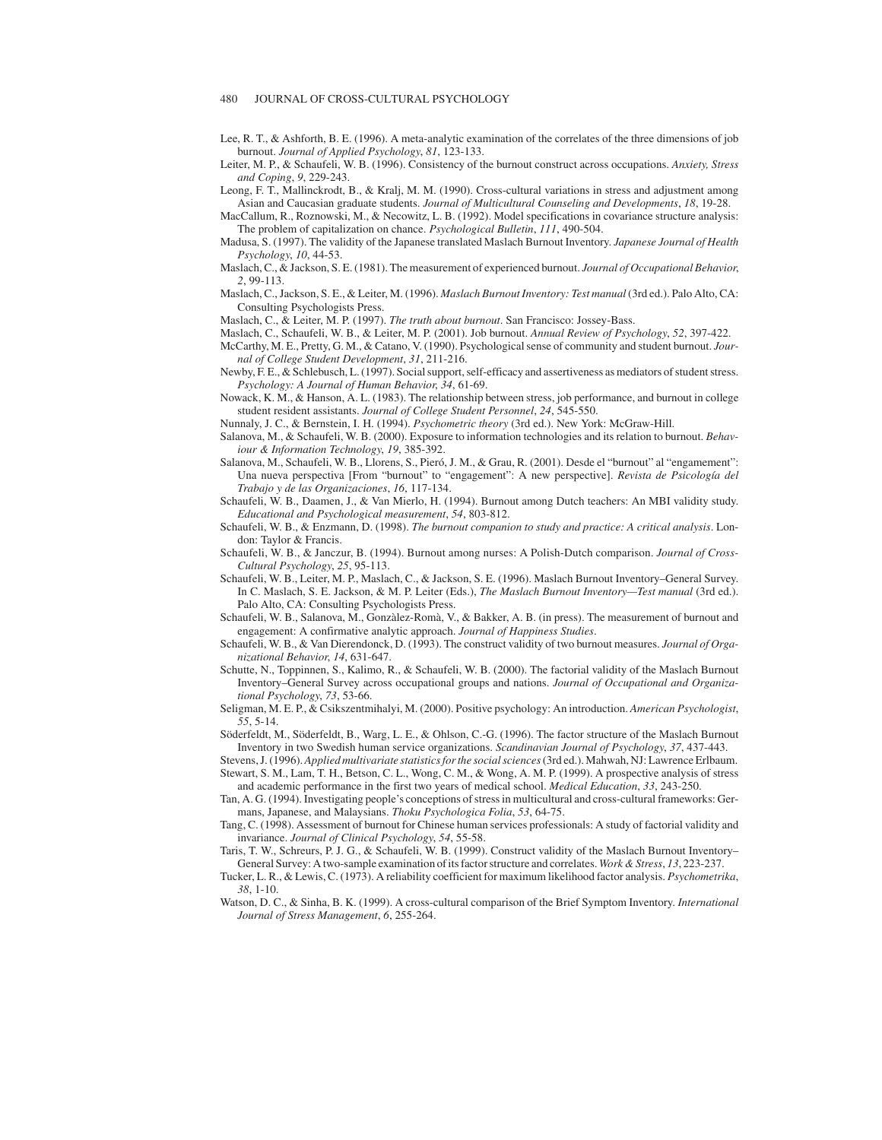- Lee, R. T., & Ashforth, B. E. (1996). A meta-analytic examination of the correlates of the three dimensions of job burnout. *Journal of Applied Psychology*, *81*, 123-133.
- Leiter, M. P., & Schaufeli, W. B. (1996). Consistency of the burnout construct across occupations. *Anxiety, Stress and Coping*, *9*, 229-243.
- Leong, F. T., Mallinckrodt, B., & Kralj, M. M. (1990). Cross-cultural variations in stress and adjustment among Asian and Caucasian graduate students. *Journal of Multicultural Counseling and Developments*, *18*, 19-28.
- MacCallum, R., Roznowski, M., & Necowitz, L. B. (1992). Model specifications in covariance structure analysis: The problem of capitalization on chance. *Psychological Bulletin*, *111*, 490-504.
- Madusa, S. (1997). The validity of the Japanese translated Maslach Burnout Inventory. *Japanese Journal of Health Psychology*, *10*, 44-53.
- Maslach, C., & Jackson, S. E. (1981). The measurement of experienced burnout. *Journal of Occupational Behavior*, *2*, 99-113.
- Maslach, C., Jackson, S. E., & Leiter, M. (1996). *Maslach Burnout Inventory: Test manual* (3rd ed.). Palo Alto, CA: Consulting Psychologists Press.
- Maslach, C., & Leiter, M. P. (1997). *The truth about burnout*. San Francisco: Jossey-Bass.
- Maslach, C., Schaufeli, W. B., & Leiter, M. P. (2001). Job burnout. *Annual Review of Psychology*, *52*, 397-422.
- McCarthy, M. E., Pretty, G. M., & Catano, V. (1990). Psychological sense of community and student burnout. *Journal of College Student Development*, *31*, 211-216.
- Newby, F. E., & Schlebusch, L. (1997). Social support, self-efficacy and assertiveness as mediators of student stress. *Psychology: A Journal of Human Behavior*, *34*, 61-69.
- Nowack, K. M., & Hanson, A. L. (1983). The relationship between stress, job performance, and burnout in college student resident assistants. *Journal of College Student Personnel*, *24*, 545-550.
- Nunnaly, J. C., & Bernstein, I. H. (1994). *Psychometric theory* (3rd ed.). New York: McGraw-Hill.
- Salanova, M., & Schaufeli, W. B. (2000). Exposure to information technologies and its relation to burnout. *Behaviour & Information Technology*, *19*, 385-392.
- Salanova, M., Schaufeli, W. B., Llorens, S., Pieró, J. M., & Grau, R. (2001). Desde el "burnout" al "engamement": Una nueva perspectiva [From "burnout" to "engagement": A new perspective]. *Revista de Psicología del Trabajo y de las Organizaciones*, *16*, 117-134.
- Schaufeli, W. B., Daamen, J., & Van Mierlo, H. (1994). Burnout among Dutch teachers: An MBI validity study. *Educational and Psychological measurement*, *54*, 803-812.
- Schaufeli, W. B., & Enzmann, D. (1998). *The burnout companion to study and practice: A critical analysis*. London: Taylor & Francis.
- Schaufeli, W. B., & Janczur, B. (1994). Burnout among nurses: A Polish-Dutch comparison. *Journal of Cross-Cultural Psychology*, *25*, 95-113.
- Schaufeli, W. B., Leiter, M. P., Maslach, C., & Jackson, S. E. (1996). Maslach Burnout Inventory–General Survey. In C. Maslach, S. E. Jackson, & M. P. Leiter (Eds.), *The Maslach Burnout Inventory—Test manual* (3rd ed.). Palo Alto, CA: Consulting Psychologists Press.
- Schaufeli, W. B., Salanova, M., Gonzàlez-Romà, V., & Bakker, A. B. (in press). The measurement of burnout and engagement: A confirmative analytic approach. *Journal of Happiness Studies*.
- Schaufeli, W. B., & Van Dierendonck, D. (1993). The construct validity of two burnout measures. *Journal of Organizational Behavior*, *14*, 631-647.
- Schutte, N., Toppinnen, S., Kalimo, R., & Schaufeli, W. B. (2000). The factorial validity of the Maslach Burnout Inventory–General Survey across occupational groups and nations. *Journal of Occupational and Organizational Psychology*, *73*, 53-66.
- Seligman, M. E. P., & Csikszentmihalyi, M. (2000). Positive psychology: An introduction. *American Psychologist*, *55*, 5-14.
- Söderfeldt, M., Söderfeldt, B., Warg, L. E., & Ohlson, C.-G. (1996). The factor structure of the Maslach Burnout Inventory in two Swedish human service organizations. *Scandinavian Journal of Psychology*, *37*, 437-443.
- Stevens, J. (1996).*Applied multivariate statistics for the social sciences*(3rd ed.). Mahwah, NJ: Lawrence Erlbaum. Stewart, S. M., Lam, T. H., Betson, C. L., Wong, C. M., & Wong, A. M. P. (1999). A prospective analysis of stress
- and academic performance in the first two years of medical school. *Medical Education*, *33*, 243-250. Tan, A. G. (1994). Investigating people's conceptions of stress in multicultural and cross-cultural frameworks: Ger-
- mans, Japanese, and Malaysians. *Thoku Psychologica Folia*, *53*, 64-75. Tang, C. (1998). Assessment of burnout for Chinese human services professionals: A study of factorial validity and invariance. *Journal of Clinical Psychology*, *54*, 55-58.
- Taris, T. W., Schreurs, P. J. G., & Schaufeli, W. B. (1999). Construct validity of the Maslach Burnout Inventory– General Survey: A two-sample examination of its factor structure and correlates. *Work & Stress*, *13*, 223-237.
- Tucker, L. R., & Lewis, C. (1973). A reliability coefficient for maximum likelihood factor analysis. *Psychometrika*, *38*, 1-10.
- Watson, D. C., & Sinha, B. K. (1999). A cross-cultural comparison of the Brief Symptom Inventory. *International Journal of Stress Management*, *6*, 255-264.